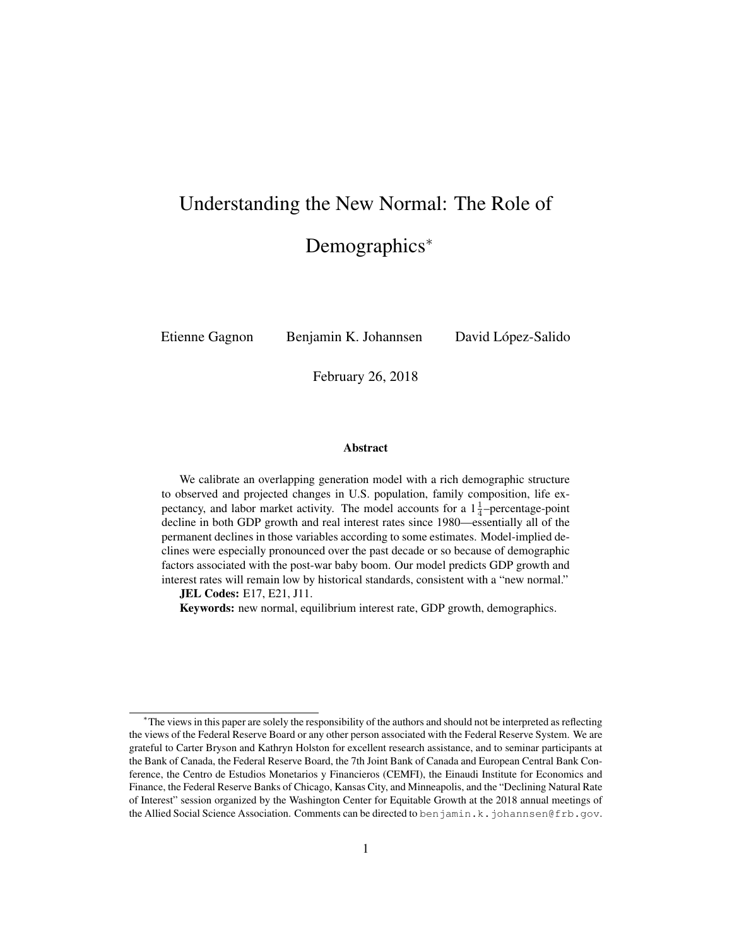# Understanding the New Normal: The Role of Demographics<sup>\*</sup>

Etienne Gagnon Benjamin K. Johannsen David López-Salido

February 26, 2018

#### Abstract

We calibrate an overlapping generation model with a rich demographic structure to observed and projected changes in U.S. population, family composition, life expectancy, and labor market activity. The model accounts for a  $1\frac{1}{4}$ -percentage-point decline in both GDP growth and real interest rates since 1980—essentially all of the permanent declines in those variables according to some estimates. Model-implied declines were especially pronounced over the past decade or so because of demographic factors associated with the post-war baby boom. Our model predicts GDP growth and interest rates will remain low by historical standards, consistent with a "new normal."

JEL Codes: E17, E21, J11.

Keywords: new normal, equilibrium interest rate, GDP growth, demographics.

<sup>∗</sup>The views in this paper are solely the responsibility of the authors and should not be interpreted as reflecting the views of the Federal Reserve Board or any other person associated with the Federal Reserve System. We are grateful to Carter Bryson and Kathryn Holston for excellent research assistance, and to seminar participants at the Bank of Canada, the Federal Reserve Board, the 7th Joint Bank of Canada and European Central Bank Conference, the Centro de Estudios Monetarios y Financieros (CEMFI), the Einaudi Institute for Economics and Finance, the Federal Reserve Banks of Chicago, Kansas City, and Minneapolis, and the "Declining Natural Rate of Interest" session organized by the Washington Center for Equitable Growth at the 2018 annual meetings of the Allied Social Science Association. Comments can be directed to benjamin.k.johannsen@frb.gov.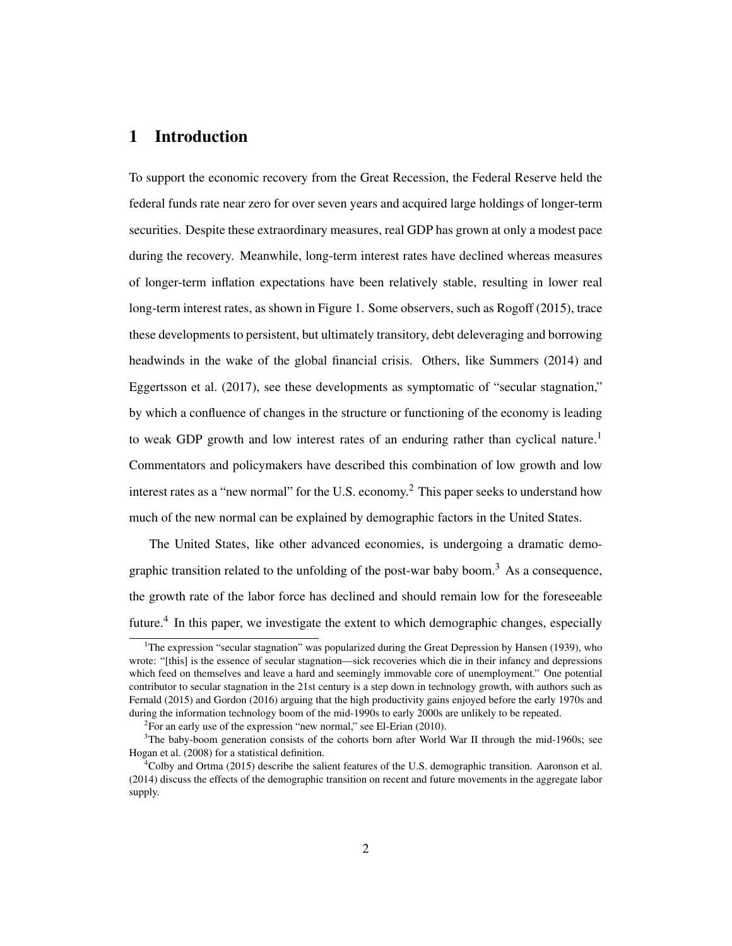# 1 Introduction

To support the economic recovery from the Great Recession, the Federal Reserve held the federal funds rate near zero for over seven years and acquired large holdings of longer-term securities. Despite these extraordinary measures, real GDP has grown at only a modest pace during the recovery. Meanwhile, long-term interest rates have declined whereas measures of longer-term inflation expectations have been relatively stable, resulting in lower real long-term interest rates, as shown in Figure 1. Some observers, such as Rogoff (2015), trace these developments to persistent, but ultimately transitory, debt deleveraging and borrowing headwinds in the wake of the global financial crisis. Others, like Summers (2014) and Eggertsson et al. (2017), see these developments as symptomatic of "secular stagnation," by which a confluence of changes in the structure or functioning of the economy is leading to weak GDP growth and low interest rates of an enduring rather than cyclical nature.<sup>1</sup> Commentators and policymakers have described this combination of low growth and low interest rates as a "new normal" for the U.S. economy.<sup>2</sup> This paper seeks to understand how much of the new normal can be explained by demographic factors in the United States.

The United States, like other advanced economies, is undergoing a dramatic demographic transition related to the unfolding of the post-war baby boom.<sup>3</sup> As a consequence, the growth rate of the labor force has declined and should remain low for the foreseeable future.<sup>4</sup> In this paper, we investigate the extent to which demographic changes, especially

<sup>&</sup>lt;sup>1</sup>The expression "secular stagnation" was popularized during the Great Depression by Hansen (1939), who wrote: "[this] is the essence of secular stagnation—sick recoveries which die in their infancy and depressions which feed on themselves and leave a hard and seemingly immovable core of unemployment." One potential contributor to secular stagnation in the 21st century is a step down in technology growth, with authors such as Fernald (2015) and Gordon (2016) arguing that the high productivity gains enjoyed before the early 1970s and during the information technology boom of the mid-1990s to early 2000s are unlikely to be repeated.

<sup>&</sup>lt;sup>2</sup> For an early use of the expression "new normal," see El-Erian (2010).

<sup>&</sup>lt;sup>3</sup>The baby-boom generation consists of the cohorts born after World War II through the mid-1960s; see Hogan et al. (2008) for a statistical definition.

 $^{4}$ Colby and Ortma (2015) describe the salient features of the U.S. demographic transition. Aaronson et al. (2014) discuss the effects of the demographic transition on recent and future movements in the aggregate labor supply.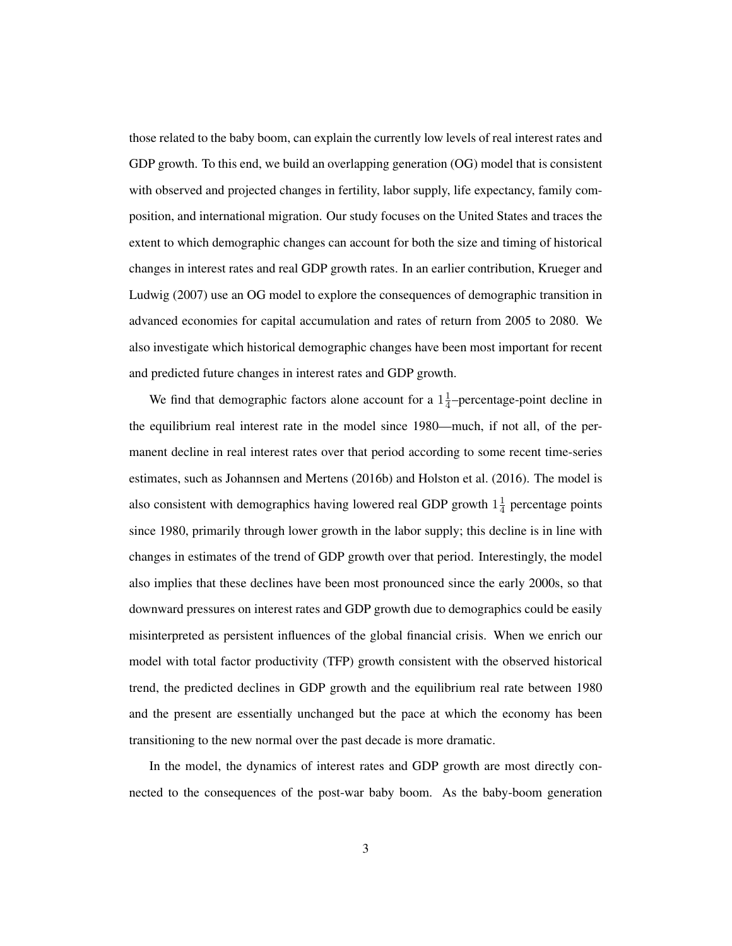those related to the baby boom, can explain the currently low levels of real interest rates and GDP growth. To this end, we build an overlapping generation (OG) model that is consistent with observed and projected changes in fertility, labor supply, life expectancy, family composition, and international migration. Our study focuses on the United States and traces the extent to which demographic changes can account for both the size and timing of historical changes in interest rates and real GDP growth rates. In an earlier contribution, Krueger and Ludwig (2007) use an OG model to explore the consequences of demographic transition in advanced economies for capital accumulation and rates of return from 2005 to 2080. We also investigate which historical demographic changes have been most important for recent and predicted future changes in interest rates and GDP growth.

We find that demographic factors alone account for a  $1\frac{1}{4}$  $\frac{1}{4}$ -percentage-point decline in the equilibrium real interest rate in the model since 1980—much, if not all, of the permanent decline in real interest rates over that period according to some recent time-series estimates, such as Johannsen and Mertens (2016b) and Holston et al. (2016). The model is also consistent with demographics having lowered real GDP growth  $1\frac{1}{4}$  $\frac{1}{4}$  percentage points since 1980, primarily through lower growth in the labor supply; this decline is in line with changes in estimates of the trend of GDP growth over that period. Interestingly, the model also implies that these declines have been most pronounced since the early 2000s, so that downward pressures on interest rates and GDP growth due to demographics could be easily misinterpreted as persistent influences of the global financial crisis. When we enrich our model with total factor productivity (TFP) growth consistent with the observed historical trend, the predicted declines in GDP growth and the equilibrium real rate between 1980 and the present are essentially unchanged but the pace at which the economy has been transitioning to the new normal over the past decade is more dramatic.

In the model, the dynamics of interest rates and GDP growth are most directly connected to the consequences of the post-war baby boom. As the baby-boom generation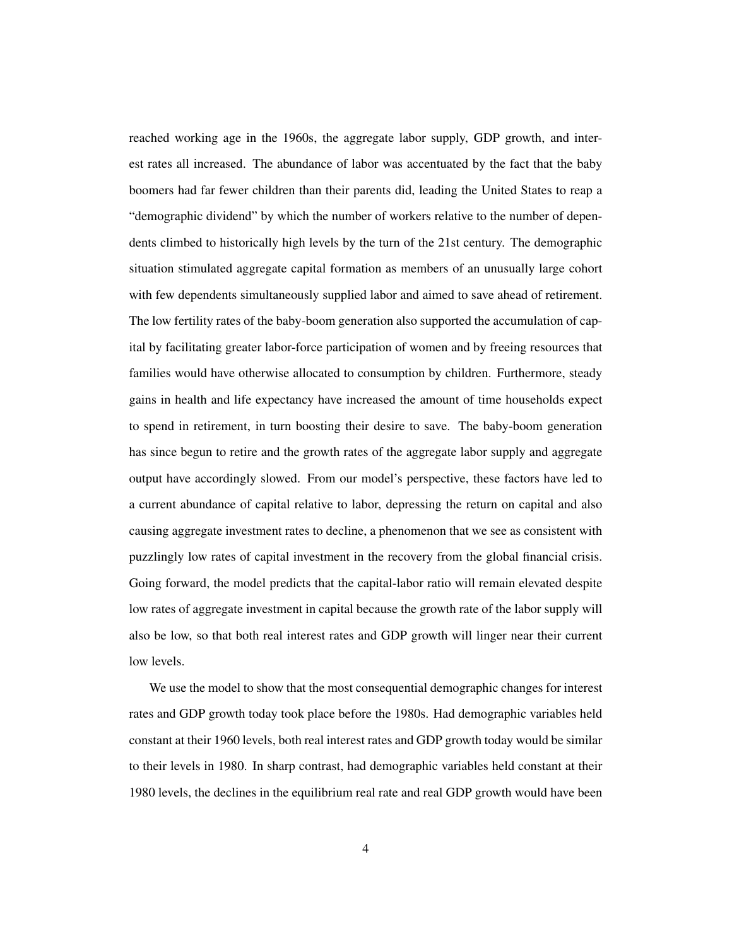reached working age in the 1960s, the aggregate labor supply, GDP growth, and interest rates all increased. The abundance of labor was accentuated by the fact that the baby boomers had far fewer children than their parents did, leading the United States to reap a "demographic dividend" by which the number of workers relative to the number of dependents climbed to historically high levels by the turn of the 21st century. The demographic situation stimulated aggregate capital formation as members of an unusually large cohort with few dependents simultaneously supplied labor and aimed to save ahead of retirement. The low fertility rates of the baby-boom generation also supported the accumulation of capital by facilitating greater labor-force participation of women and by freeing resources that families would have otherwise allocated to consumption by children. Furthermore, steady gains in health and life expectancy have increased the amount of time households expect to spend in retirement, in turn boosting their desire to save. The baby-boom generation has since begun to retire and the growth rates of the aggregate labor supply and aggregate output have accordingly slowed. From our model's perspective, these factors have led to a current abundance of capital relative to labor, depressing the return on capital and also causing aggregate investment rates to decline, a phenomenon that we see as consistent with puzzlingly low rates of capital investment in the recovery from the global financial crisis. Going forward, the model predicts that the capital-labor ratio will remain elevated despite low rates of aggregate investment in capital because the growth rate of the labor supply will also be low, so that both real interest rates and GDP growth will linger near their current low levels.

We use the model to show that the most consequential demographic changes for interest rates and GDP growth today took place before the 1980s. Had demographic variables held constant at their 1960 levels, both real interest rates and GDP growth today would be similar to their levels in 1980. In sharp contrast, had demographic variables held constant at their 1980 levels, the declines in the equilibrium real rate and real GDP growth would have been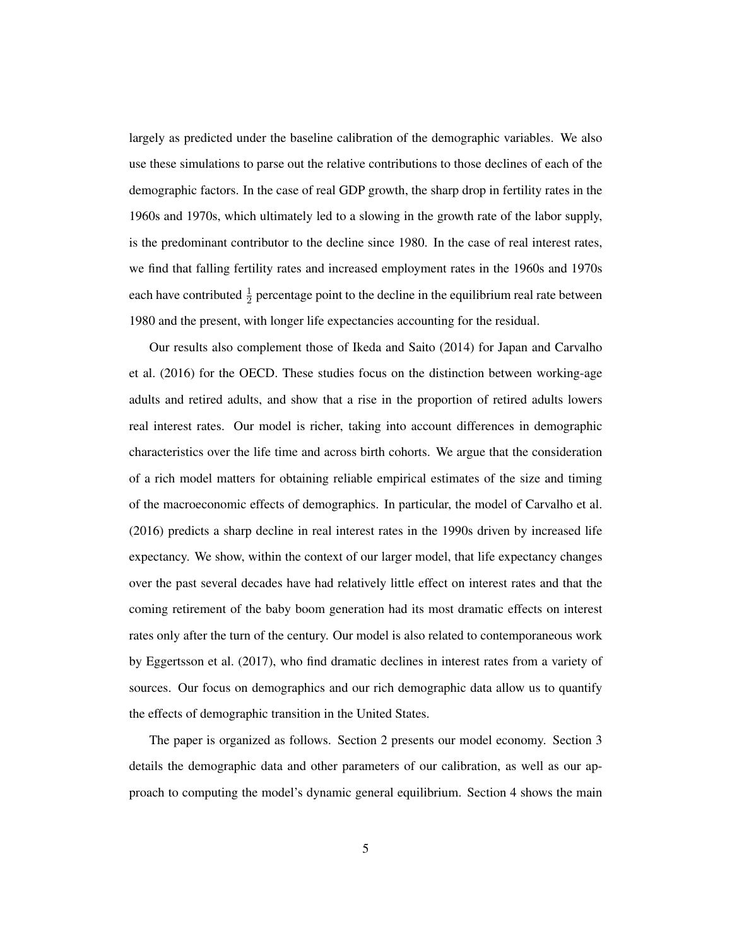largely as predicted under the baseline calibration of the demographic variables. We also use these simulations to parse out the relative contributions to those declines of each of the demographic factors. In the case of real GDP growth, the sharp drop in fertility rates in the 1960s and 1970s, which ultimately led to a slowing in the growth rate of the labor supply, is the predominant contributor to the decline since 1980. In the case of real interest rates, we find that falling fertility rates and increased employment rates in the 1960s and 1970s each have contributed  $\frac{1}{2}$  percentage point to the decline in the equilibrium real rate between 1980 and the present, with longer life expectancies accounting for the residual.

Our results also complement those of Ikeda and Saito (2014) for Japan and Carvalho et al. (2016) for the OECD. These studies focus on the distinction between working-age adults and retired adults, and show that a rise in the proportion of retired adults lowers real interest rates. Our model is richer, taking into account differences in demographic characteristics over the life time and across birth cohorts. We argue that the consideration of a rich model matters for obtaining reliable empirical estimates of the size and timing of the macroeconomic effects of demographics. In particular, the model of Carvalho et al. (2016) predicts a sharp decline in real interest rates in the 1990s driven by increased life expectancy. We show, within the context of our larger model, that life expectancy changes over the past several decades have had relatively little effect on interest rates and that the coming retirement of the baby boom generation had its most dramatic effects on interest rates only after the turn of the century. Our model is also related to contemporaneous work by Eggertsson et al. (2017), who find dramatic declines in interest rates from a variety of sources. Our focus on demographics and our rich demographic data allow us to quantify the effects of demographic transition in the United States.

The paper is organized as follows. Section 2 presents our model economy. Section 3 details the demographic data and other parameters of our calibration, as well as our approach to computing the model's dynamic general equilibrium. Section 4 shows the main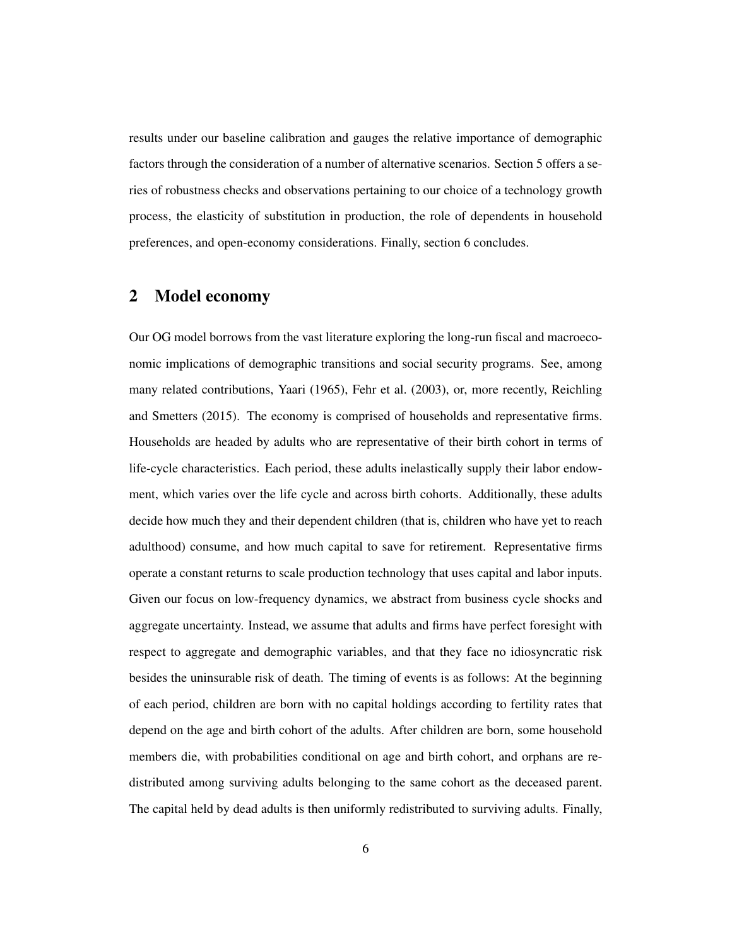results under our baseline calibration and gauges the relative importance of demographic factors through the consideration of a number of alternative scenarios. Section 5 offers a series of robustness checks and observations pertaining to our choice of a technology growth process, the elasticity of substitution in production, the role of dependents in household preferences, and open-economy considerations. Finally, section 6 concludes.

# 2 Model economy

Our OG model borrows from the vast literature exploring the long-run fiscal and macroeconomic implications of demographic transitions and social security programs. See, among many related contributions, Yaari (1965), Fehr et al. (2003), or, more recently, Reichling and Smetters (2015). The economy is comprised of households and representative firms. Households are headed by adults who are representative of their birth cohort in terms of life-cycle characteristics. Each period, these adults inelastically supply their labor endowment, which varies over the life cycle and across birth cohorts. Additionally, these adults decide how much they and their dependent children (that is, children who have yet to reach adulthood) consume, and how much capital to save for retirement. Representative firms operate a constant returns to scale production technology that uses capital and labor inputs. Given our focus on low-frequency dynamics, we abstract from business cycle shocks and aggregate uncertainty. Instead, we assume that adults and firms have perfect foresight with respect to aggregate and demographic variables, and that they face no idiosyncratic risk besides the uninsurable risk of death. The timing of events is as follows: At the beginning of each period, children are born with no capital holdings according to fertility rates that depend on the age and birth cohort of the adults. After children are born, some household members die, with probabilities conditional on age and birth cohort, and orphans are redistributed among surviving adults belonging to the same cohort as the deceased parent. The capital held by dead adults is then uniformly redistributed to surviving adults. Finally,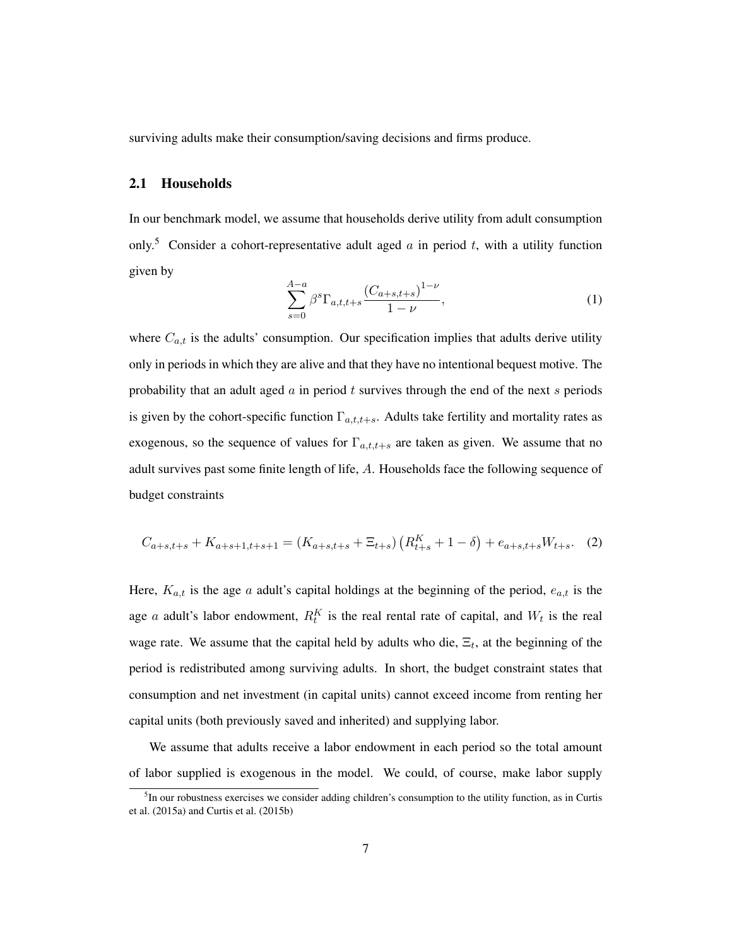surviving adults make their consumption/saving decisions and firms produce.

## 2.1 Households

In our benchmark model, we assume that households derive utility from adult consumption only.<sup>5</sup> Consider a cohort-representative adult aged a in period t, with a utility function given by

$$
\sum_{s=0}^{A-a} \beta^s \Gamma_{a,t,t+s} \frac{(C_{a+s,t+s})^{1-\nu}}{1-\nu},\tag{1}
$$

where  $C_{a,t}$  is the adults' consumption. Our specification implies that adults derive utility only in periods in which they are alive and that they have no intentional bequest motive. The probability that an adult aged  $\alpha$  in period  $t$  survives through the end of the next  $s$  periods is given by the cohort-specific function  $\Gamma_{a,t,t+s}$ . Adults take fertility and mortality rates as exogenous, so the sequence of values for  $\Gamma_{a,t,t+s}$  are taken as given. We assume that no adult survives past some finite length of life, A. Households face the following sequence of budget constraints

$$
C_{a+s,t+s} + K_{a+s+1,t+s+1} = (K_{a+s,t+s} + \Xi_{t+s}) \left( R_{t+s}^K + 1 - \delta \right) + e_{a+s,t+s} W_{t+s}.
$$
 (2)

Here,  $K_{a,t}$  is the age a adult's capital holdings at the beginning of the period,  $e_{a,t}$  is the age *a* adult's labor endowment,  $R_t^K$  is the real rental rate of capital, and  $W_t$  is the real wage rate. We assume that the capital held by adults who die,  $\Xi_t$ , at the beginning of the period is redistributed among surviving adults. In short, the budget constraint states that consumption and net investment (in capital units) cannot exceed income from renting her capital units (both previously saved and inherited) and supplying labor.

We assume that adults receive a labor endowment in each period so the total amount of labor supplied is exogenous in the model. We could, of course, make labor supply

<sup>&</sup>lt;sup>5</sup>In our robustness exercises we consider adding children's consumption to the utility function, as in Curtis et al. (2015a) and Curtis et al. (2015b)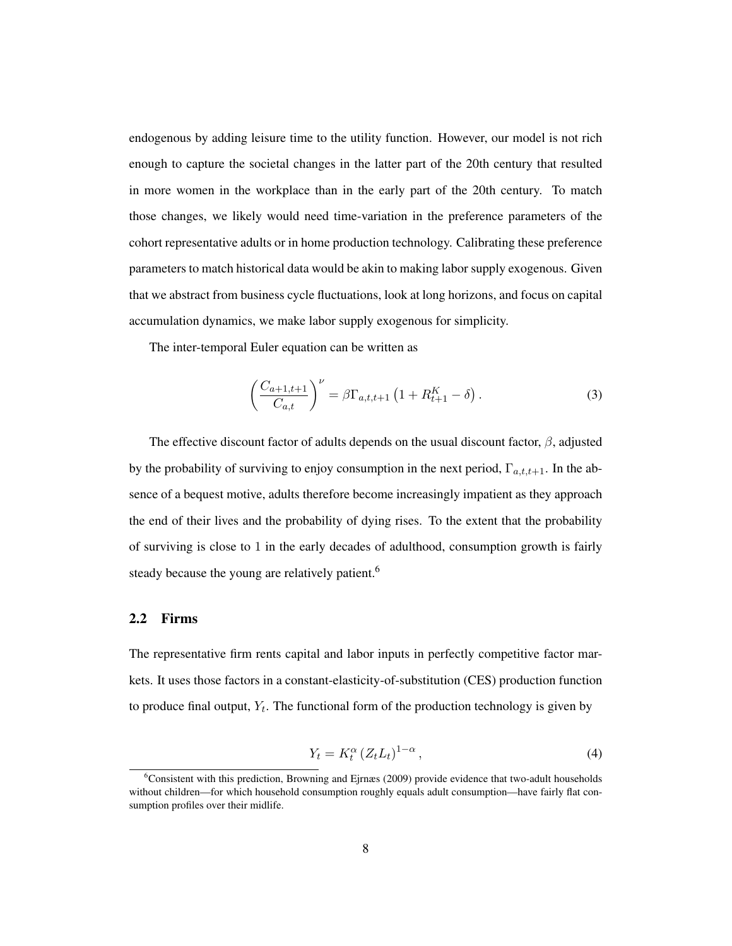endogenous by adding leisure time to the utility function. However, our model is not rich enough to capture the societal changes in the latter part of the 20th century that resulted in more women in the workplace than in the early part of the 20th century. To match those changes, we likely would need time-variation in the preference parameters of the cohort representative adults or in home production technology. Calibrating these preference parameters to match historical data would be akin to making labor supply exogenous. Given that we abstract from business cycle fluctuations, look at long horizons, and focus on capital accumulation dynamics, we make labor supply exogenous for simplicity.

The inter-temporal Euler equation can be written as

$$
\left(\frac{C_{a+1,t+1}}{C_{a,t}}\right)^{\nu} = \beta \Gamma_{a,t,t+1} \left(1 + R_{t+1}^{K} - \delta\right). \tag{3}
$$

The effective discount factor of adults depends on the usual discount factor,  $\beta$ , adjusted by the probability of surviving to enjoy consumption in the next period,  $\Gamma_{a,t,t+1}$ . In the absence of a bequest motive, adults therefore become increasingly impatient as they approach the end of their lives and the probability of dying rises. To the extent that the probability of surviving is close to 1 in the early decades of adulthood, consumption growth is fairly steady because the young are relatively patient.<sup>6</sup>

#### 2.2 Firms

The representative firm rents capital and labor inputs in perfectly competitive factor markets. It uses those factors in a constant-elasticity-of-substitution (CES) production function to produce final output,  $Y_t$ . The functional form of the production technology is given by

$$
Y_t = K_t^{\alpha} \left( Z_t L_t \right)^{1-\alpha},\tag{4}
$$

 $6$ Consistent with this prediction, Browning and Ejrnæs (2009) provide evidence that two-adult households without children—for which household consumption roughly equals adult consumption—have fairly flat consumption profiles over their midlife.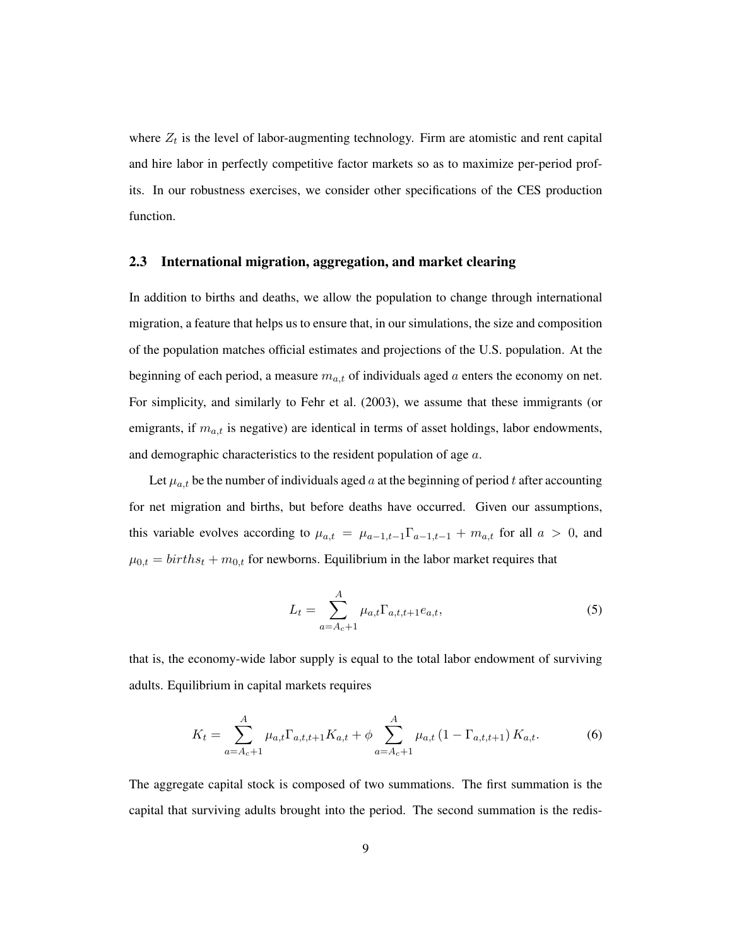where  $Z_t$  is the level of labor-augmenting technology. Firm are atomistic and rent capital and hire labor in perfectly competitive factor markets so as to maximize per-period profits. In our robustness exercises, we consider other specifications of the CES production function.

#### 2.3 International migration, aggregation, and market clearing

In addition to births and deaths, we allow the population to change through international migration, a feature that helps us to ensure that, in our simulations, the size and composition of the population matches official estimates and projections of the U.S. population. At the beginning of each period, a measure  $m_{a,t}$  of individuals aged a enters the economy on net. For simplicity, and similarly to Fehr et al. (2003), we assume that these immigrants (or emigrants, if  $m_{a,t}$  is negative) are identical in terms of asset holdings, labor endowments, and demographic characteristics to the resident population of age  $a$ .

Let  $\mu_{a,t}$  be the number of individuals aged a at the beginning of period t after accounting for net migration and births, but before deaths have occurred. Given our assumptions, this variable evolves according to  $\mu_{a,t} = \mu_{a-1,t-1} \Gamma_{a-1,t-1} + m_{a,t}$  for all  $a > 0$ , and  $\mu_{0,t} = births_t + m_{0,t}$  for newborns. Equilibrium in the labor market requires that

$$
L_t = \sum_{a=A_c+1}^{A} \mu_{a,t} \Gamma_{a,t,t+1} e_{a,t},
$$
\n(5)

that is, the economy-wide labor supply is equal to the total labor endowment of surviving adults. Equilibrium in capital markets requires

$$
K_{t} = \sum_{a=A_{c}+1}^{A} \mu_{a,t} \Gamma_{a,t,t+1} K_{a,t} + \phi \sum_{a=A_{c}+1}^{A} \mu_{a,t} \left(1 - \Gamma_{a,t,t+1}\right) K_{a,t}.
$$
 (6)

The aggregate capital stock is composed of two summations. The first summation is the capital that surviving adults brought into the period. The second summation is the redis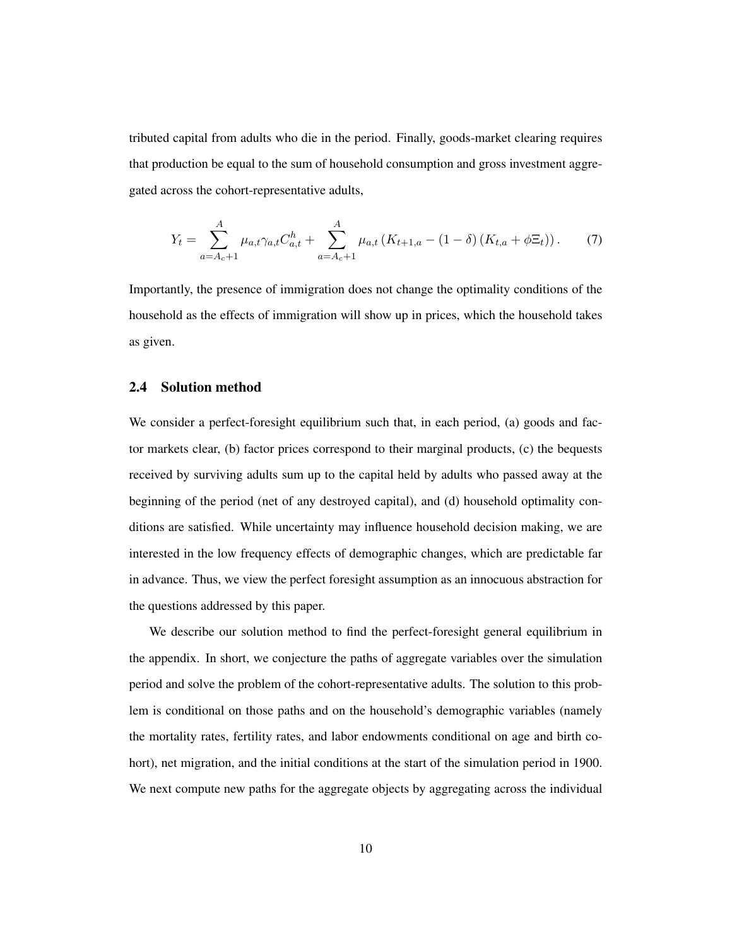tributed capital from adults who die in the period. Finally, goods-market clearing requires that production be equal to the sum of household consumption and gross investment aggregated across the cohort-representative adults,

$$
Y_t = \sum_{a=A_c+1}^{A} \mu_{a,t} \gamma_{a,t} C_{a,t}^h + \sum_{a=A_c+1}^{A} \mu_{a,t} \left( K_{t+1,a} - (1-\delta) \left( K_{t,a} + \phi \Xi_t \right) \right). \tag{7}
$$

Importantly, the presence of immigration does not change the optimality conditions of the household as the effects of immigration will show up in prices, which the household takes as given.

## 2.4 Solution method

We consider a perfect-foresight equilibrium such that, in each period, (a) goods and factor markets clear, (b) factor prices correspond to their marginal products, (c) the bequests received by surviving adults sum up to the capital held by adults who passed away at the beginning of the period (net of any destroyed capital), and (d) household optimality conditions are satisfied. While uncertainty may influence household decision making, we are interested in the low frequency effects of demographic changes, which are predictable far in advance. Thus, we view the perfect foresight assumption as an innocuous abstraction for the questions addressed by this paper.

We describe our solution method to find the perfect-foresight general equilibrium in the appendix. In short, we conjecture the paths of aggregate variables over the simulation period and solve the problem of the cohort-representative adults. The solution to this problem is conditional on those paths and on the household's demographic variables (namely the mortality rates, fertility rates, and labor endowments conditional on age and birth cohort), net migration, and the initial conditions at the start of the simulation period in 1900. We next compute new paths for the aggregate objects by aggregating across the individual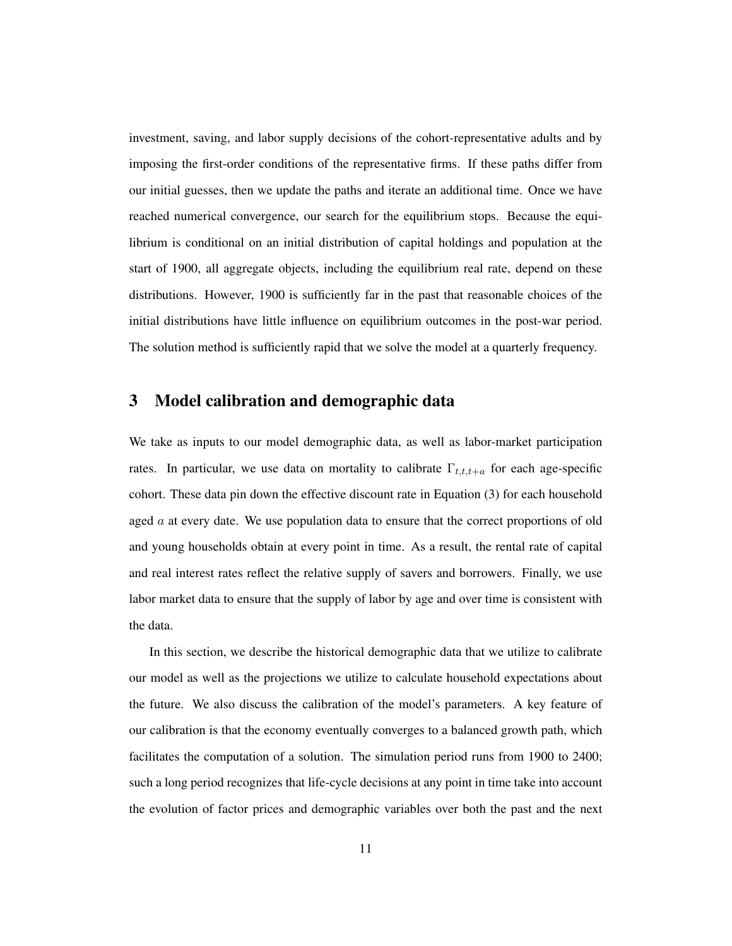investment, saving, and labor supply decisions of the cohort-representative adults and by imposing the first-order conditions of the representative firms. If these paths differ from our initial guesses, then we update the paths and iterate an additional time. Once we have reached numerical convergence, our search for the equilibrium stops. Because the equilibrium is conditional on an initial distribution of capital holdings and population at the start of 1900, all aggregate objects, including the equilibrium real rate, depend on these distributions. However, 1900 is sufficiently far in the past that reasonable choices of the initial distributions have little influence on equilibrium outcomes in the post-war period. The solution method is sufficiently rapid that we solve the model at a quarterly frequency.

# 3 Model calibration and demographic data

We take as inputs to our model demographic data, as well as labor-market participation rates. In particular, we use data on mortality to calibrate  $\Gamma_{t,t,t+a}$  for each age-specific cohort. These data pin down the effective discount rate in Equation (3) for each household aged  $\alpha$  at every date. We use population data to ensure that the correct proportions of old and young households obtain at every point in time. As a result, the rental rate of capital and real interest rates reflect the relative supply of savers and borrowers. Finally, we use labor market data to ensure that the supply of labor by age and over time is consistent with the data.

In this section, we describe the historical demographic data that we utilize to calibrate our model as well as the projections we utilize to calculate household expectations about the future. We also discuss the calibration of the model's parameters. A key feature of our calibration is that the economy eventually converges to a balanced growth path, which facilitates the computation of a solution. The simulation period runs from 1900 to 2400; such a long period recognizes that life-cycle decisions at any point in time take into account the evolution of factor prices and demographic variables over both the past and the next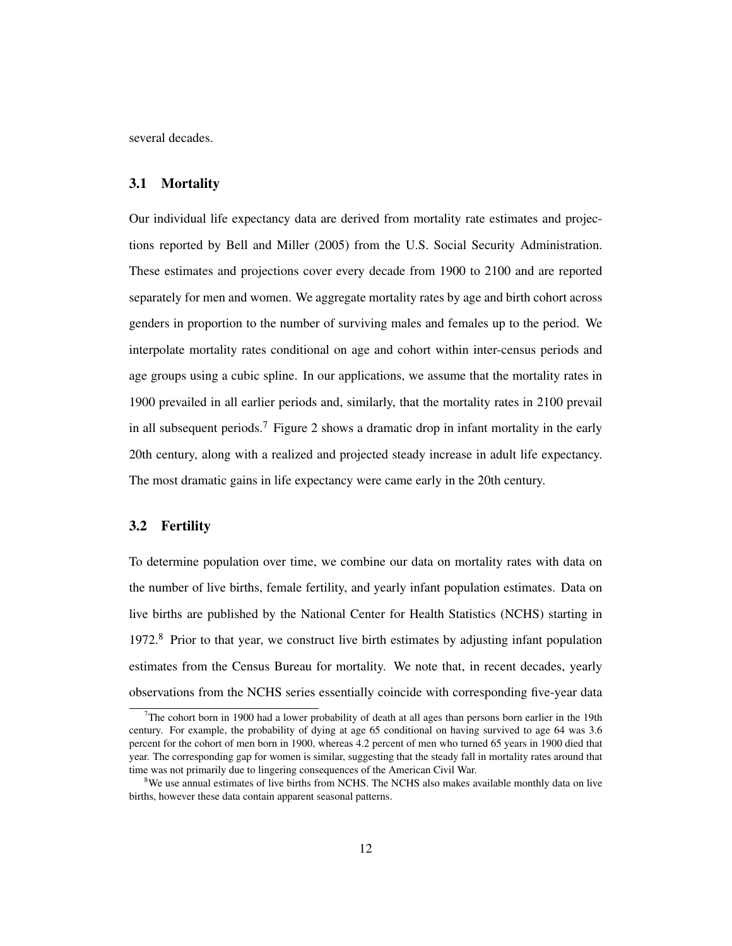several decades.

## 3.1 Mortality

Our individual life expectancy data are derived from mortality rate estimates and projections reported by Bell and Miller (2005) from the U.S. Social Security Administration. These estimates and projections cover every decade from 1900 to 2100 and are reported separately for men and women. We aggregate mortality rates by age and birth cohort across genders in proportion to the number of surviving males and females up to the period. We interpolate mortality rates conditional on age and cohort within inter-census periods and age groups using a cubic spline. In our applications, we assume that the mortality rates in 1900 prevailed in all earlier periods and, similarly, that the mortality rates in 2100 prevail in all subsequent periods.<sup>7</sup> Figure 2 shows a dramatic drop in infant mortality in the early 20th century, along with a realized and projected steady increase in adult life expectancy. The most dramatic gains in life expectancy were came early in the 20th century.

## 3.2 Fertility

To determine population over time, we combine our data on mortality rates with data on the number of live births, female fertility, and yearly infant population estimates. Data on live births are published by the National Center for Health Statistics (NCHS) starting in 1972.<sup>8</sup> Prior to that year, we construct live birth estimates by adjusting infant population estimates from the Census Bureau for mortality. We note that, in recent decades, yearly observations from the NCHS series essentially coincide with corresponding five-year data

 $7$ The cohort born in 1900 had a lower probability of death at all ages than persons born earlier in the 19th century. For example, the probability of dying at age 65 conditional on having survived to age 64 was 3.6 percent for the cohort of men born in 1900, whereas 4.2 percent of men who turned 65 years in 1900 died that year. The corresponding gap for women is similar, suggesting that the steady fall in mortality rates around that time was not primarily due to lingering consequences of the American Civil War.

<sup>&</sup>lt;sup>8</sup>We use annual estimates of live births from NCHS. The NCHS also makes available monthly data on live births, however these data contain apparent seasonal patterns.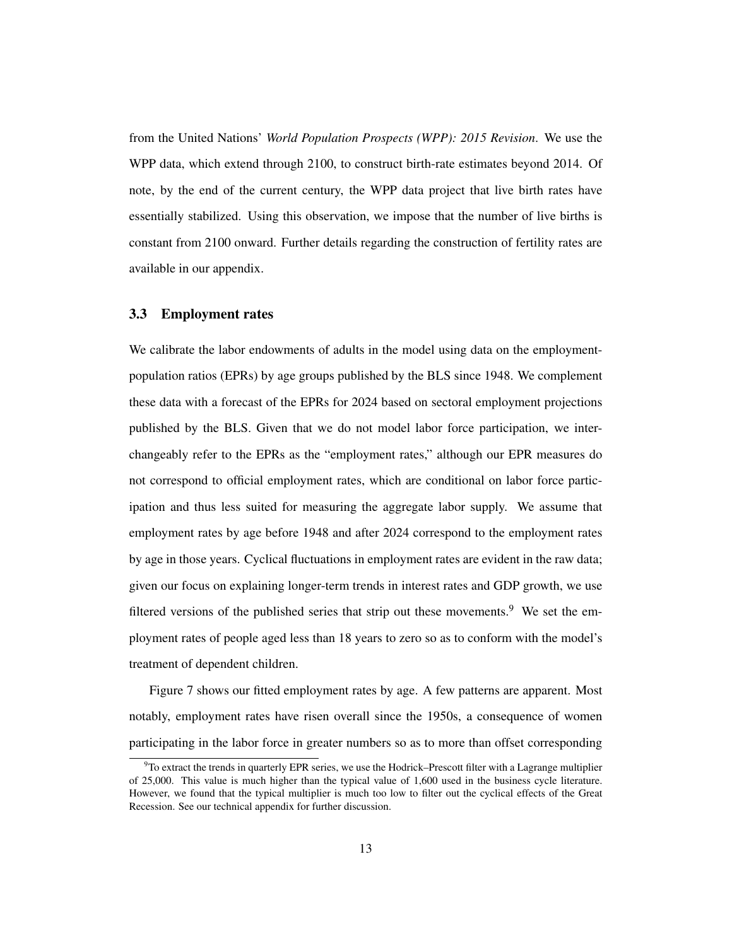from the United Nations' *World Population Prospects (WPP): 2015 Revision*. We use the WPP data, which extend through 2100, to construct birth-rate estimates beyond 2014. Of note, by the end of the current century, the WPP data project that live birth rates have essentially stabilized. Using this observation, we impose that the number of live births is constant from 2100 onward. Further details regarding the construction of fertility rates are available in our appendix.

#### 3.3 Employment rates

We calibrate the labor endowments of adults in the model using data on the employmentpopulation ratios (EPRs) by age groups published by the BLS since 1948. We complement these data with a forecast of the EPRs for 2024 based on sectoral employment projections published by the BLS. Given that we do not model labor force participation, we interchangeably refer to the EPRs as the "employment rates," although our EPR measures do not correspond to official employment rates, which are conditional on labor force participation and thus less suited for measuring the aggregate labor supply. We assume that employment rates by age before 1948 and after 2024 correspond to the employment rates by age in those years. Cyclical fluctuations in employment rates are evident in the raw data; given our focus on explaining longer-term trends in interest rates and GDP growth, we use filtered versions of the published series that strip out these movements.<sup>9</sup> We set the employment rates of people aged less than 18 years to zero so as to conform with the model's treatment of dependent children.

Figure 7 shows our fitted employment rates by age. A few patterns are apparent. Most notably, employment rates have risen overall since the 1950s, a consequence of women participating in the labor force in greater numbers so as to more than offset corresponding

 $9T$ o extract the trends in quarterly EPR series, we use the Hodrick–Prescott filter with a Lagrange multiplier of 25,000. This value is much higher than the typical value of 1,600 used in the business cycle literature. However, we found that the typical multiplier is much too low to filter out the cyclical effects of the Great Recession. See our technical appendix for further discussion.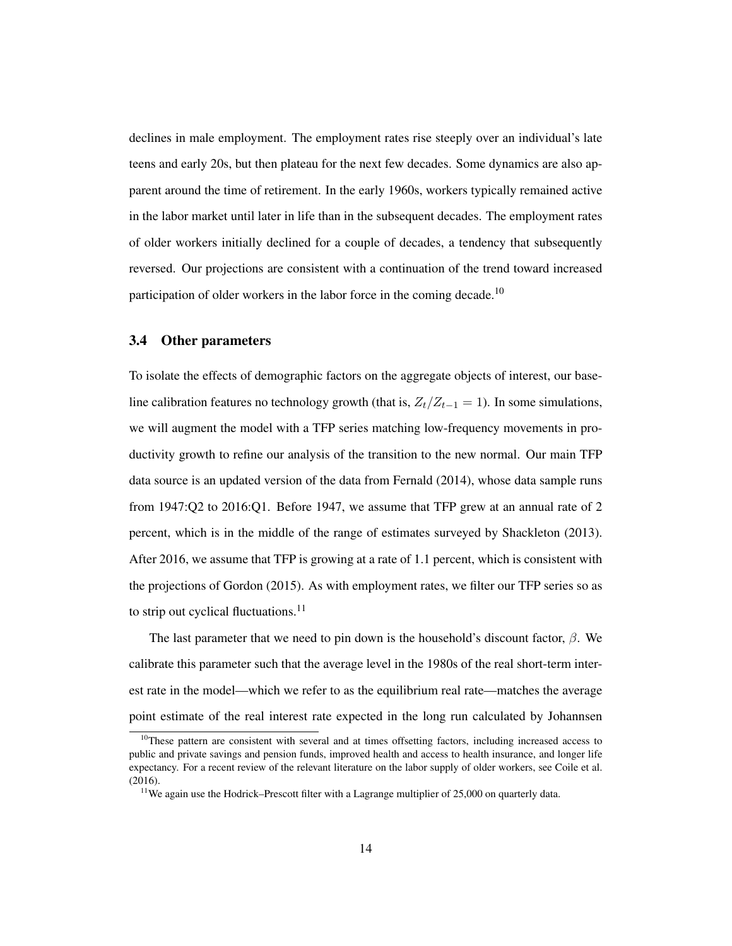declines in male employment. The employment rates rise steeply over an individual's late teens and early 20s, but then plateau for the next few decades. Some dynamics are also apparent around the time of retirement. In the early 1960s, workers typically remained active in the labor market until later in life than in the subsequent decades. The employment rates of older workers initially declined for a couple of decades, a tendency that subsequently reversed. Our projections are consistent with a continuation of the trend toward increased participation of older workers in the labor force in the coming decade.<sup>10</sup>

#### 3.4 Other parameters

To isolate the effects of demographic factors on the aggregate objects of interest, our baseline calibration features no technology growth (that is,  $Z_t/Z_{t-1} = 1$ ). In some simulations, we will augment the model with a TFP series matching low-frequency movements in productivity growth to refine our analysis of the transition to the new normal. Our main TFP data source is an updated version of the data from Fernald (2014), whose data sample runs from 1947:Q2 to 2016:Q1. Before 1947, we assume that TFP grew at an annual rate of 2 percent, which is in the middle of the range of estimates surveyed by Shackleton (2013). After 2016, we assume that TFP is growing at a rate of 1.1 percent, which is consistent with the projections of Gordon (2015). As with employment rates, we filter our TFP series so as to strip out cyclical fluctuations. $^{11}$ 

The last parameter that we need to pin down is the household's discount factor,  $\beta$ . We calibrate this parameter such that the average level in the 1980s of the real short-term interest rate in the model—which we refer to as the equilibrium real rate—matches the average point estimate of the real interest rate expected in the long run calculated by Johannsen

 $10$ These pattern are consistent with several and at times offsetting factors, including increased access to public and private savings and pension funds, improved health and access to health insurance, and longer life expectancy. For a recent review of the relevant literature on the labor supply of older workers, see Coile et al. (2016).

<sup>&</sup>lt;sup>11</sup>We again use the Hodrick–Prescott filter with a Lagrange multiplier of 25,000 on quarterly data.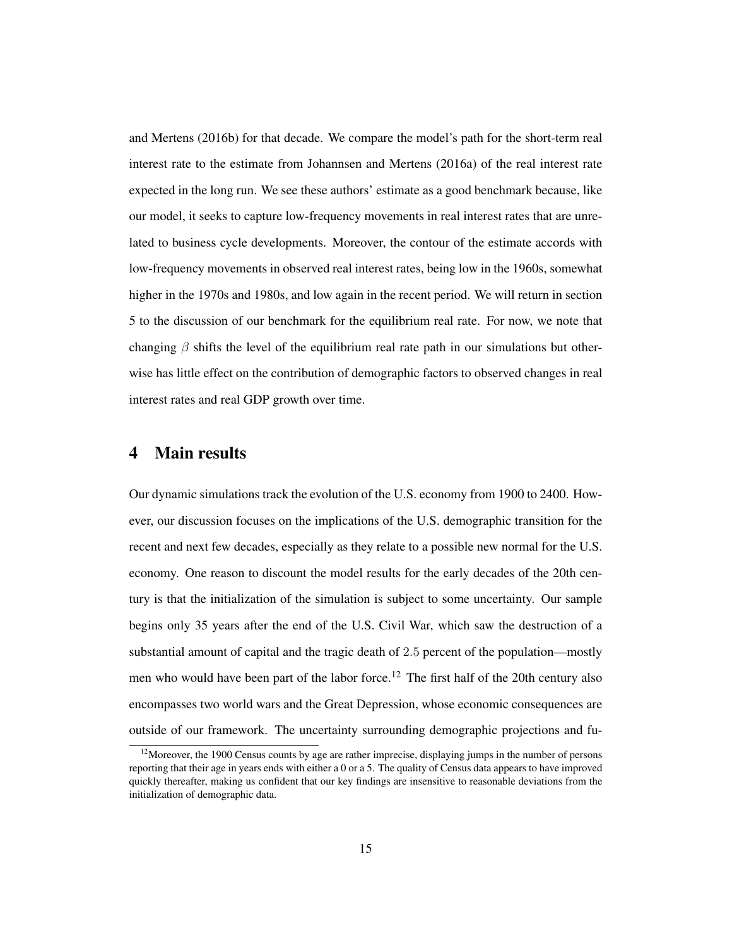and Mertens (2016b) for that decade. We compare the model's path for the short-term real interest rate to the estimate from Johannsen and Mertens (2016a) of the real interest rate expected in the long run. We see these authors' estimate as a good benchmark because, like our model, it seeks to capture low-frequency movements in real interest rates that are unrelated to business cycle developments. Moreover, the contour of the estimate accords with low-frequency movements in observed real interest rates, being low in the 1960s, somewhat higher in the 1970s and 1980s, and low again in the recent period. We will return in section 5 to the discussion of our benchmark for the equilibrium real rate. For now, we note that changing  $\beta$  shifts the level of the equilibrium real rate path in our simulations but otherwise has little effect on the contribution of demographic factors to observed changes in real interest rates and real GDP growth over time.

# 4 Main results

Our dynamic simulations track the evolution of the U.S. economy from 1900 to 2400. However, our discussion focuses on the implications of the U.S. demographic transition for the recent and next few decades, especially as they relate to a possible new normal for the U.S. economy. One reason to discount the model results for the early decades of the 20th century is that the initialization of the simulation is subject to some uncertainty. Our sample begins only 35 years after the end of the U.S. Civil War, which saw the destruction of a substantial amount of capital and the tragic death of 2.5 percent of the population—mostly men who would have been part of the labor force.<sup>12</sup> The first half of the 20th century also encompasses two world wars and the Great Depression, whose economic consequences are outside of our framework. The uncertainty surrounding demographic projections and fu-

 $12$ Moreover, the 1900 Census counts by age are rather imprecise, displaying jumps in the number of persons reporting that their age in years ends with either a 0 or a 5. The quality of Census data appears to have improved quickly thereafter, making us confident that our key findings are insensitive to reasonable deviations from the initialization of demographic data.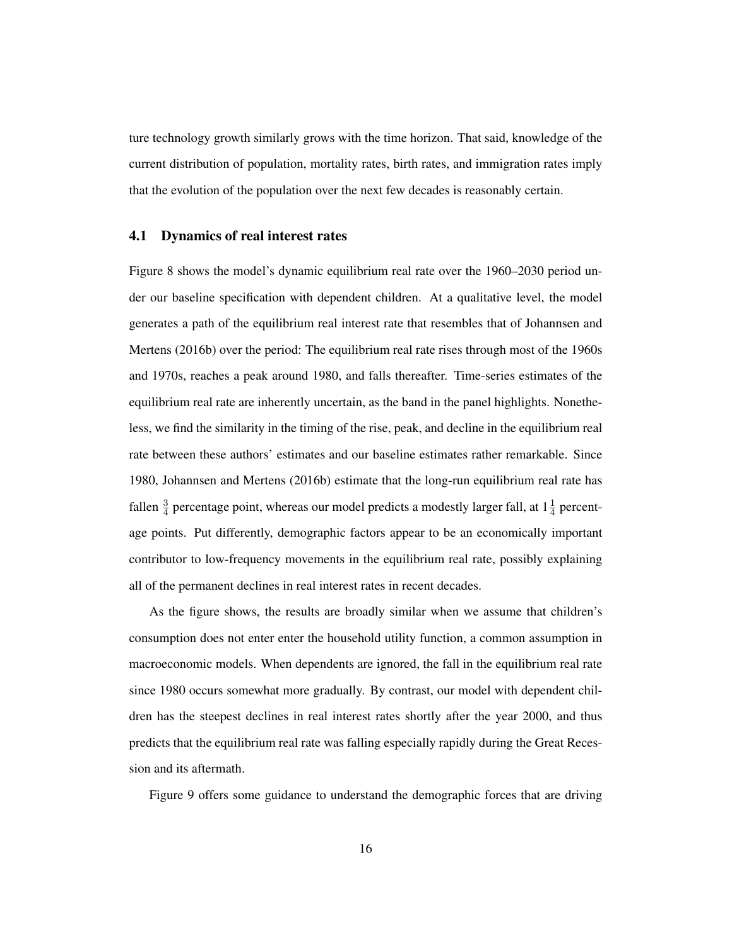ture technology growth similarly grows with the time horizon. That said, knowledge of the current distribution of population, mortality rates, birth rates, and immigration rates imply that the evolution of the population over the next few decades is reasonably certain.

## 4.1 Dynamics of real interest rates

Figure 8 shows the model's dynamic equilibrium real rate over the 1960–2030 period under our baseline specification with dependent children. At a qualitative level, the model generates a path of the equilibrium real interest rate that resembles that of Johannsen and Mertens (2016b) over the period: The equilibrium real rate rises through most of the 1960s and 1970s, reaches a peak around 1980, and falls thereafter. Time-series estimates of the equilibrium real rate are inherently uncertain, as the band in the panel highlights. Nonetheless, we find the similarity in the timing of the rise, peak, and decline in the equilibrium real rate between these authors' estimates and our baseline estimates rather remarkable. Since 1980, Johannsen and Mertens (2016b) estimate that the long-run equilibrium real rate has fallen  $\frac{3}{4}$  percentage point, whereas our model predicts a modestly larger fall, at  $1\frac{1}{4}$  percentage points. Put differently, demographic factors appear to be an economically important contributor to low-frequency movements in the equilibrium real rate, possibly explaining all of the permanent declines in real interest rates in recent decades.

As the figure shows, the results are broadly similar when we assume that children's consumption does not enter enter the household utility function, a common assumption in macroeconomic models. When dependents are ignored, the fall in the equilibrium real rate since 1980 occurs somewhat more gradually. By contrast, our model with dependent children has the steepest declines in real interest rates shortly after the year 2000, and thus predicts that the equilibrium real rate was falling especially rapidly during the Great Recession and its aftermath.

Figure 9 offers some guidance to understand the demographic forces that are driving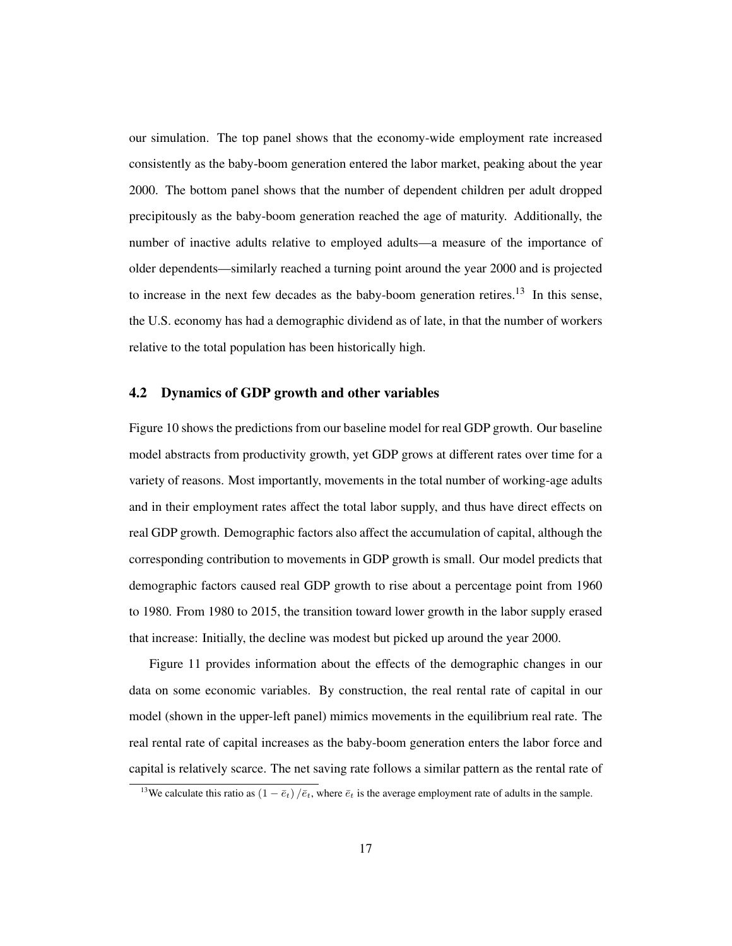our simulation. The top panel shows that the economy-wide employment rate increased consistently as the baby-boom generation entered the labor market, peaking about the year 2000. The bottom panel shows that the number of dependent children per adult dropped precipitously as the baby-boom generation reached the age of maturity. Additionally, the number of inactive adults relative to employed adults—a measure of the importance of older dependents—similarly reached a turning point around the year 2000 and is projected to increase in the next few decades as the baby-boom generation retires.<sup>13</sup> In this sense, the U.S. economy has had a demographic dividend as of late, in that the number of workers relative to the total population has been historically high.

## 4.2 Dynamics of GDP growth and other variables

Figure 10 shows the predictions from our baseline model for real GDP growth. Our baseline model abstracts from productivity growth, yet GDP grows at different rates over time for a variety of reasons. Most importantly, movements in the total number of working-age adults and in their employment rates affect the total labor supply, and thus have direct effects on real GDP growth. Demographic factors also affect the accumulation of capital, although the corresponding contribution to movements in GDP growth is small. Our model predicts that demographic factors caused real GDP growth to rise about a percentage point from 1960 to 1980. From 1980 to 2015, the transition toward lower growth in the labor supply erased that increase: Initially, the decline was modest but picked up around the year 2000.

Figure 11 provides information about the effects of the demographic changes in our data on some economic variables. By construction, the real rental rate of capital in our model (shown in the upper-left panel) mimics movements in the equilibrium real rate. The real rental rate of capital increases as the baby-boom generation enters the labor force and capital is relatively scarce. The net saving rate follows a similar pattern as the rental rate of

<sup>&</sup>lt;sup>13</sup>We calculate this ratio as  $(1 - \bar{e}_t)/\bar{e}_t$ , where  $\bar{e}_t$  is the average employment rate of adults in the sample.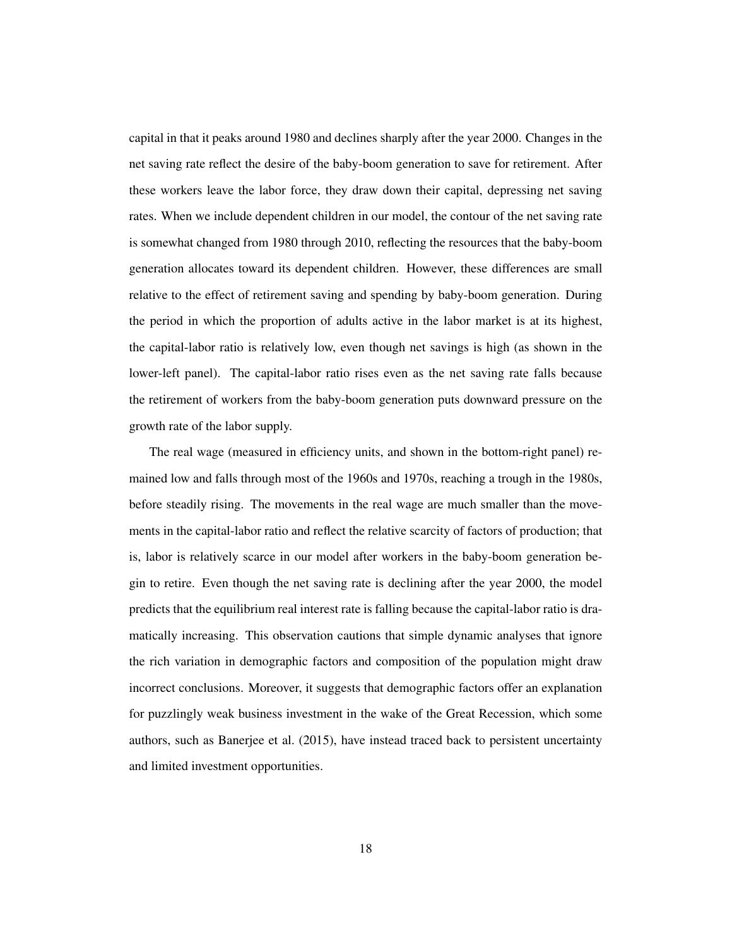capital in that it peaks around 1980 and declines sharply after the year 2000. Changes in the net saving rate reflect the desire of the baby-boom generation to save for retirement. After these workers leave the labor force, they draw down their capital, depressing net saving rates. When we include dependent children in our model, the contour of the net saving rate is somewhat changed from 1980 through 2010, reflecting the resources that the baby-boom generation allocates toward its dependent children. However, these differences are small relative to the effect of retirement saving and spending by baby-boom generation. During the period in which the proportion of adults active in the labor market is at its highest, the capital-labor ratio is relatively low, even though net savings is high (as shown in the lower-left panel). The capital-labor ratio rises even as the net saving rate falls because the retirement of workers from the baby-boom generation puts downward pressure on the growth rate of the labor supply.

The real wage (measured in efficiency units, and shown in the bottom-right panel) remained low and falls through most of the 1960s and 1970s, reaching a trough in the 1980s, before steadily rising. The movements in the real wage are much smaller than the movements in the capital-labor ratio and reflect the relative scarcity of factors of production; that is, labor is relatively scarce in our model after workers in the baby-boom generation begin to retire. Even though the net saving rate is declining after the year 2000, the model predicts that the equilibrium real interest rate is falling because the capital-labor ratio is dramatically increasing. This observation cautions that simple dynamic analyses that ignore the rich variation in demographic factors and composition of the population might draw incorrect conclusions. Moreover, it suggests that demographic factors offer an explanation for puzzlingly weak business investment in the wake of the Great Recession, which some authors, such as Banerjee et al. (2015), have instead traced back to persistent uncertainty and limited investment opportunities.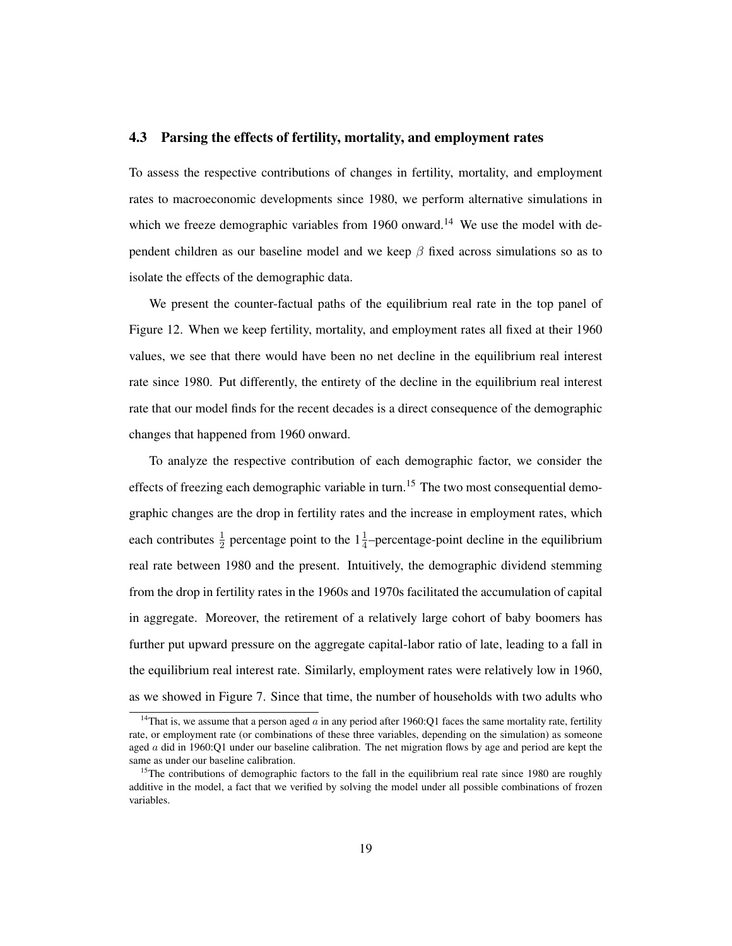#### 4.3 Parsing the effects of fertility, mortality, and employment rates

To assess the respective contributions of changes in fertility, mortality, and employment rates to macroeconomic developments since 1980, we perform alternative simulations in which we freeze demographic variables from 1960 onward.<sup>14</sup> We use the model with dependent children as our baseline model and we keep  $\beta$  fixed across simulations so as to isolate the effects of the demographic data.

We present the counter-factual paths of the equilibrium real rate in the top panel of Figure 12. When we keep fertility, mortality, and employment rates all fixed at their 1960 values, we see that there would have been no net decline in the equilibrium real interest rate since 1980. Put differently, the entirety of the decline in the equilibrium real interest rate that our model finds for the recent decades is a direct consequence of the demographic changes that happened from 1960 onward.

To analyze the respective contribution of each demographic factor, we consider the effects of freezing each demographic variable in turn.<sup>15</sup> The two most consequential demographic changes are the drop in fertility rates and the increase in employment rates, which each contributes  $\frac{1}{2}$  percentage point to the  $1\frac{1}{4}$ -percentage-point decline in the equilibrium real rate between 1980 and the present. Intuitively, the demographic dividend stemming from the drop in fertility rates in the 1960s and 1970s facilitated the accumulation of capital in aggregate. Moreover, the retirement of a relatively large cohort of baby boomers has further put upward pressure on the aggregate capital-labor ratio of late, leading to a fall in the equilibrium real interest rate. Similarly, employment rates were relatively low in 1960, as we showed in Figure 7. Since that time, the number of households with two adults who

<sup>&</sup>lt;sup>14</sup>That is, we assume that a person aged  $\alpha$  in any period after 1960:Q1 faces the same mortality rate, fertility rate, or employment rate (or combinations of these three variables, depending on the simulation) as someone aged  $\alpha$  did in 1960:Q1 under our baseline calibration. The net migration flows by age and period are kept the same as under our baseline calibration.

<sup>&</sup>lt;sup>15</sup>The contributions of demographic factors to the fall in the equilibrium real rate since 1980 are roughly additive in the model, a fact that we verified by solving the model under all possible combinations of frozen variables.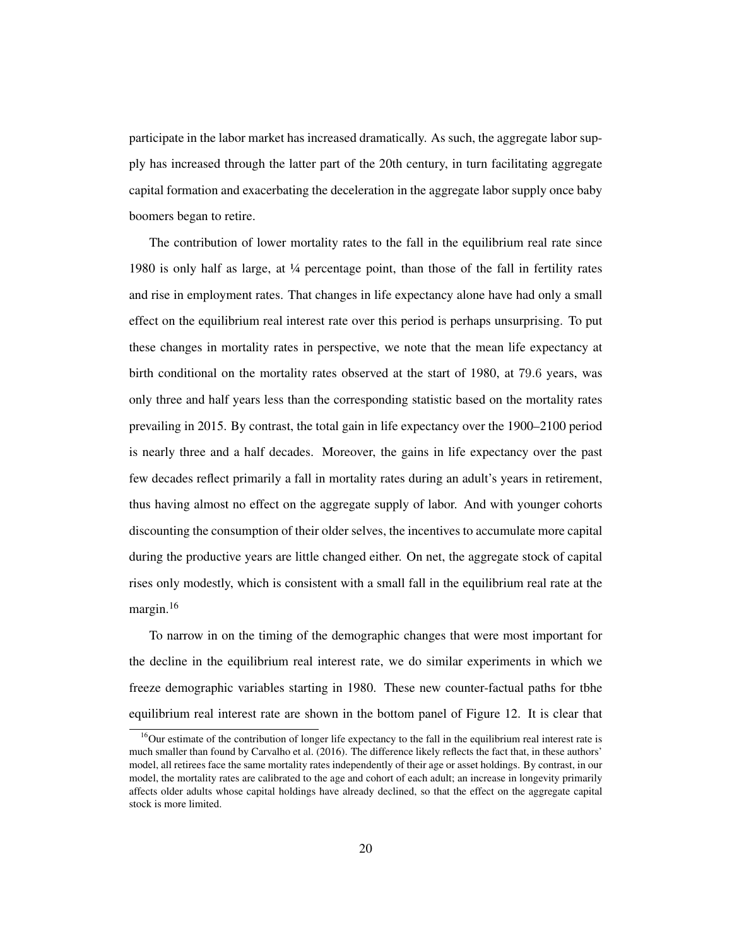participate in the labor market has increased dramatically. As such, the aggregate labor supply has increased through the latter part of the 20th century, in turn facilitating aggregate capital formation and exacerbating the deceleration in the aggregate labor supply once baby boomers began to retire.

The contribution of lower mortality rates to the fall in the equilibrium real rate since 1980 is only half as large, at ¼ percentage point, than those of the fall in fertility rates and rise in employment rates. That changes in life expectancy alone have had only a small effect on the equilibrium real interest rate over this period is perhaps unsurprising. To put these changes in mortality rates in perspective, we note that the mean life expectancy at birth conditional on the mortality rates observed at the start of 1980, at 79.6 years, was only three and half years less than the corresponding statistic based on the mortality rates prevailing in 2015. By contrast, the total gain in life expectancy over the 1900–2100 period is nearly three and a half decades. Moreover, the gains in life expectancy over the past few decades reflect primarily a fall in mortality rates during an adult's years in retirement, thus having almost no effect on the aggregate supply of labor. And with younger cohorts discounting the consumption of their older selves, the incentives to accumulate more capital during the productive years are little changed either. On net, the aggregate stock of capital rises only modestly, which is consistent with a small fall in the equilibrium real rate at the margin.<sup>16</sup>

To narrow in on the timing of the demographic changes that were most important for the decline in the equilibrium real interest rate, we do similar experiments in which we freeze demographic variables starting in 1980. These new counter-factual paths for tbhe equilibrium real interest rate are shown in the bottom panel of Figure 12. It is clear that

 $16$ Our estimate of the contribution of longer life expectancy to the fall in the equilibrium real interest rate is much smaller than found by Carvalho et al. (2016). The difference likely reflects the fact that, in these authors' model, all retirees face the same mortality rates independently of their age or asset holdings. By contrast, in our model, the mortality rates are calibrated to the age and cohort of each adult; an increase in longevity primarily affects older adults whose capital holdings have already declined, so that the effect on the aggregate capital stock is more limited.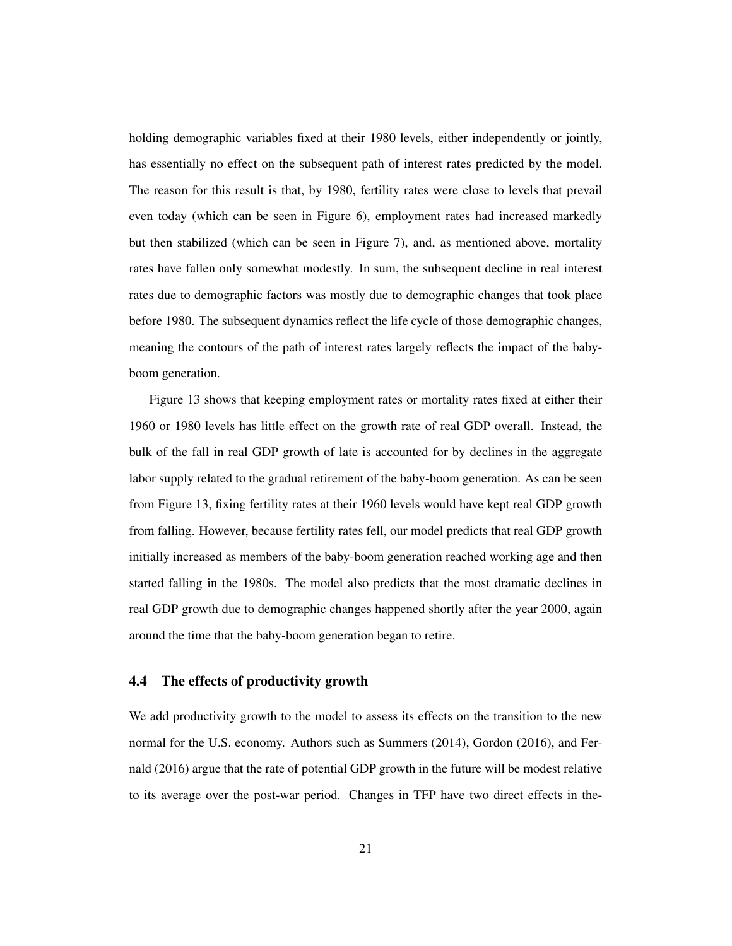holding demographic variables fixed at their 1980 levels, either independently or jointly, has essentially no effect on the subsequent path of interest rates predicted by the model. The reason for this result is that, by 1980, fertility rates were close to levels that prevail even today (which can be seen in Figure 6), employment rates had increased markedly but then stabilized (which can be seen in Figure 7), and, as mentioned above, mortality rates have fallen only somewhat modestly. In sum, the subsequent decline in real interest rates due to demographic factors was mostly due to demographic changes that took place before 1980. The subsequent dynamics reflect the life cycle of those demographic changes, meaning the contours of the path of interest rates largely reflects the impact of the babyboom generation.

Figure 13 shows that keeping employment rates or mortality rates fixed at either their 1960 or 1980 levels has little effect on the growth rate of real GDP overall. Instead, the bulk of the fall in real GDP growth of late is accounted for by declines in the aggregate labor supply related to the gradual retirement of the baby-boom generation. As can be seen from Figure 13, fixing fertility rates at their 1960 levels would have kept real GDP growth from falling. However, because fertility rates fell, our model predicts that real GDP growth initially increased as members of the baby-boom generation reached working age and then started falling in the 1980s. The model also predicts that the most dramatic declines in real GDP growth due to demographic changes happened shortly after the year 2000, again around the time that the baby-boom generation began to retire.

#### 4.4 The effects of productivity growth

We add productivity growth to the model to assess its effects on the transition to the new normal for the U.S. economy. Authors such as Summers (2014), Gordon (2016), and Fernald (2016) argue that the rate of potential GDP growth in the future will be modest relative to its average over the post-war period. Changes in TFP have two direct effects in the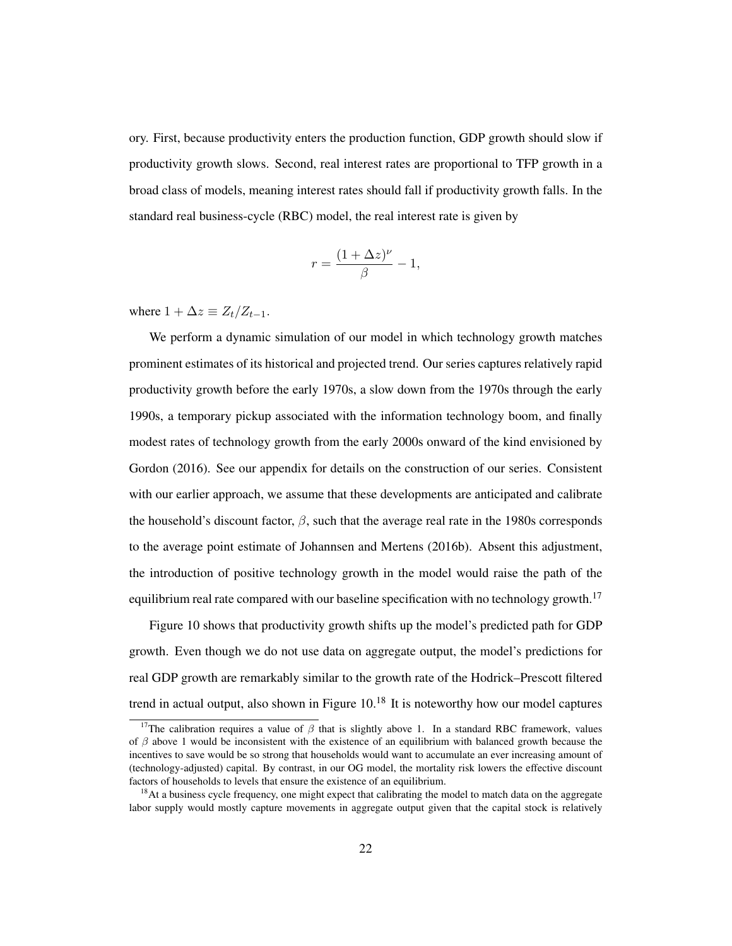ory. First, because productivity enters the production function, GDP growth should slow if productivity growth slows. Second, real interest rates are proportional to TFP growth in a broad class of models, meaning interest rates should fall if productivity growth falls. In the standard real business-cycle (RBC) model, the real interest rate is given by

$$
r = \frac{(1 + \Delta z)^{\nu}}{\beta} - 1,
$$

where  $1 + \Delta z \equiv Z_t/Z_{t-1}$ .

We perform a dynamic simulation of our model in which technology growth matches prominent estimates of its historical and projected trend. Our series captures relatively rapid productivity growth before the early 1970s, a slow down from the 1970s through the early 1990s, a temporary pickup associated with the information technology boom, and finally modest rates of technology growth from the early 2000s onward of the kind envisioned by Gordon (2016). See our appendix for details on the construction of our series. Consistent with our earlier approach, we assume that these developments are anticipated and calibrate the household's discount factor,  $\beta$ , such that the average real rate in the 1980s corresponds to the average point estimate of Johannsen and Mertens (2016b). Absent this adjustment, the introduction of positive technology growth in the model would raise the path of the equilibrium real rate compared with our baseline specification with no technology growth.<sup>17</sup>

Figure 10 shows that productivity growth shifts up the model's predicted path for GDP growth. Even though we do not use data on aggregate output, the model's predictions for real GDP growth are remarkably similar to the growth rate of the Hodrick–Prescott filtered trend in actual output, also shown in Figure  $10<sup>18</sup>$  It is noteworthy how our model captures

<sup>&</sup>lt;sup>17</sup>The calibration requires a value of  $\beta$  that is slightly above 1. In a standard RBC framework, values of  $\beta$  above 1 would be inconsistent with the existence of an equilibrium with balanced growth because the incentives to save would be so strong that households would want to accumulate an ever increasing amount of (technology-adjusted) capital. By contrast, in our OG model, the mortality risk lowers the effective discount factors of households to levels that ensure the existence of an equilibrium.

<sup>&</sup>lt;sup>18</sup>At a business cycle frequency, one might expect that calibrating the model to match data on the aggregate labor supply would mostly capture movements in aggregate output given that the capital stock is relatively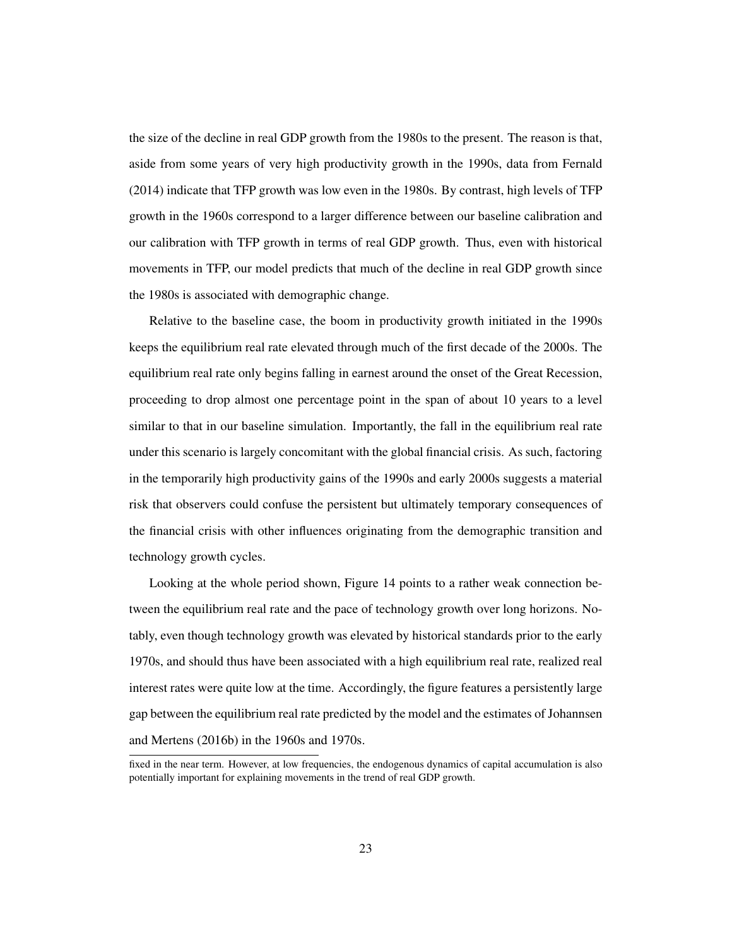the size of the decline in real GDP growth from the 1980s to the present. The reason is that, aside from some years of very high productivity growth in the 1990s, data from Fernald (2014) indicate that TFP growth was low even in the 1980s. By contrast, high levels of TFP growth in the 1960s correspond to a larger difference between our baseline calibration and our calibration with TFP growth in terms of real GDP growth. Thus, even with historical movements in TFP, our model predicts that much of the decline in real GDP growth since the 1980s is associated with demographic change.

Relative to the baseline case, the boom in productivity growth initiated in the 1990s keeps the equilibrium real rate elevated through much of the first decade of the 2000s. The equilibrium real rate only begins falling in earnest around the onset of the Great Recession, proceeding to drop almost one percentage point in the span of about 10 years to a level similar to that in our baseline simulation. Importantly, the fall in the equilibrium real rate under this scenario is largely concomitant with the global financial crisis. As such, factoring in the temporarily high productivity gains of the 1990s and early 2000s suggests a material risk that observers could confuse the persistent but ultimately temporary consequences of the financial crisis with other influences originating from the demographic transition and technology growth cycles.

Looking at the whole period shown, Figure 14 points to a rather weak connection between the equilibrium real rate and the pace of technology growth over long horizons. Notably, even though technology growth was elevated by historical standards prior to the early 1970s, and should thus have been associated with a high equilibrium real rate, realized real interest rates were quite low at the time. Accordingly, the figure features a persistently large gap between the equilibrium real rate predicted by the model and the estimates of Johannsen and Mertens (2016b) in the 1960s and 1970s.

fixed in the near term. However, at low frequencies, the endogenous dynamics of capital accumulation is also potentially important for explaining movements in the trend of real GDP growth.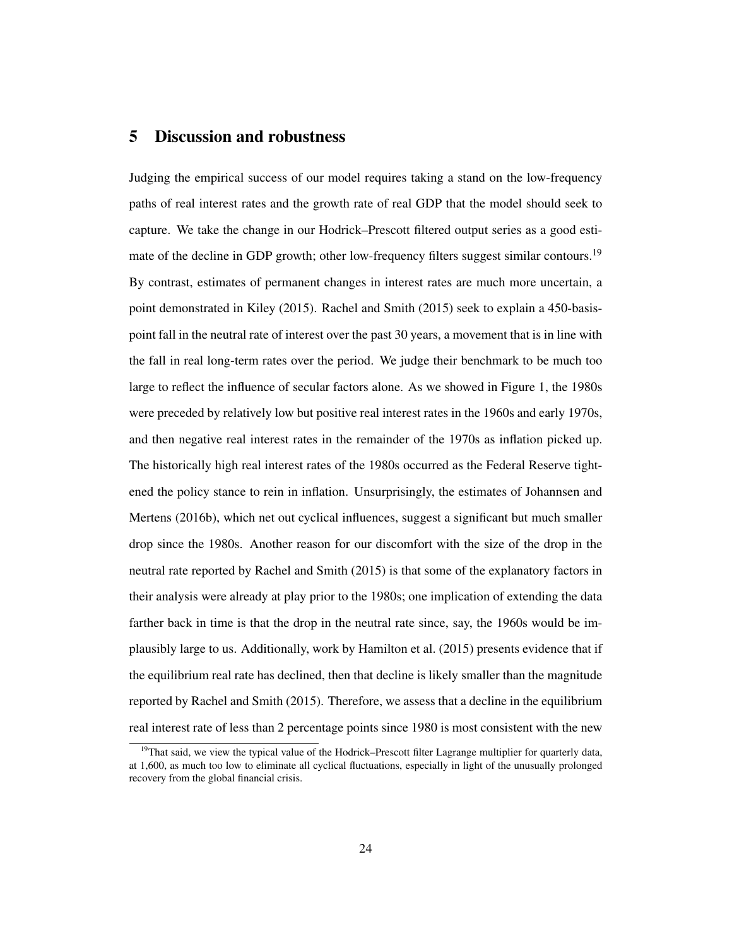## 5 Discussion and robustness

Judging the empirical success of our model requires taking a stand on the low-frequency paths of real interest rates and the growth rate of real GDP that the model should seek to capture. We take the change in our Hodrick–Prescott filtered output series as a good estimate of the decline in GDP growth; other low-frequency filters suggest similar contours.<sup>19</sup> By contrast, estimates of permanent changes in interest rates are much more uncertain, a point demonstrated in Kiley (2015). Rachel and Smith (2015) seek to explain a 450-basispoint fall in the neutral rate of interest over the past 30 years, a movement that is in line with the fall in real long-term rates over the period. We judge their benchmark to be much too large to reflect the influence of secular factors alone. As we showed in Figure 1, the 1980s were preceded by relatively low but positive real interest rates in the 1960s and early 1970s, and then negative real interest rates in the remainder of the 1970s as inflation picked up. The historically high real interest rates of the 1980s occurred as the Federal Reserve tightened the policy stance to rein in inflation. Unsurprisingly, the estimates of Johannsen and Mertens (2016b), which net out cyclical influences, suggest a significant but much smaller drop since the 1980s. Another reason for our discomfort with the size of the drop in the neutral rate reported by Rachel and Smith (2015) is that some of the explanatory factors in their analysis were already at play prior to the 1980s; one implication of extending the data farther back in time is that the drop in the neutral rate since, say, the 1960s would be implausibly large to us. Additionally, work by Hamilton et al. (2015) presents evidence that if the equilibrium real rate has declined, then that decline is likely smaller than the magnitude reported by Rachel and Smith (2015). Therefore, we assess that a decline in the equilibrium real interest rate of less than 2 percentage points since 1980 is most consistent with the new

<sup>&</sup>lt;sup>19</sup>That said, we view the typical value of the Hodrick–Prescott filter Lagrange multiplier for quarterly data, at 1,600, as much too low to eliminate all cyclical fluctuations, especially in light of the unusually prolonged recovery from the global financial crisis.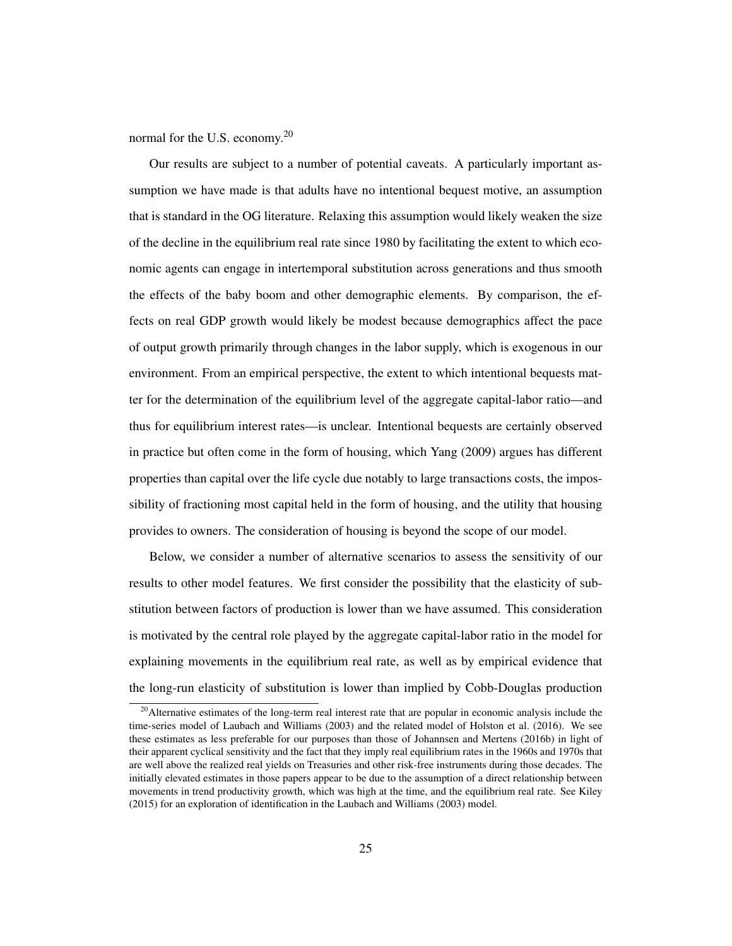normal for the U.S. economy.<sup>20</sup>

Our results are subject to a number of potential caveats. A particularly important assumption we have made is that adults have no intentional bequest motive, an assumption that is standard in the OG literature. Relaxing this assumption would likely weaken the size of the decline in the equilibrium real rate since 1980 by facilitating the extent to which economic agents can engage in intertemporal substitution across generations and thus smooth the effects of the baby boom and other demographic elements. By comparison, the effects on real GDP growth would likely be modest because demographics affect the pace of output growth primarily through changes in the labor supply, which is exogenous in our environment. From an empirical perspective, the extent to which intentional bequests matter for the determination of the equilibrium level of the aggregate capital-labor ratio—and thus for equilibrium interest rates—is unclear. Intentional bequests are certainly observed in practice but often come in the form of housing, which Yang (2009) argues has different properties than capital over the life cycle due notably to large transactions costs, the impossibility of fractioning most capital held in the form of housing, and the utility that housing provides to owners. The consideration of housing is beyond the scope of our model.

Below, we consider a number of alternative scenarios to assess the sensitivity of our results to other model features. We first consider the possibility that the elasticity of substitution between factors of production is lower than we have assumed. This consideration is motivated by the central role played by the aggregate capital-labor ratio in the model for explaining movements in the equilibrium real rate, as well as by empirical evidence that the long-run elasticity of substitution is lower than implied by Cobb-Douglas production

<sup>&</sup>lt;sup>20</sup> Alternative estimates of the long-term real interest rate that are popular in economic analysis include the time-series model of Laubach and Williams (2003) and the related model of Holston et al. (2016). We see these estimates as less preferable for our purposes than those of Johannsen and Mertens (2016b) in light of their apparent cyclical sensitivity and the fact that they imply real equilibrium rates in the 1960s and 1970s that are well above the realized real yields on Treasuries and other risk-free instruments during those decades. The initially elevated estimates in those papers appear to be due to the assumption of a direct relationship between movements in trend productivity growth, which was high at the time, and the equilibrium real rate. See Kiley (2015) for an exploration of identification in the Laubach and Williams (2003) model.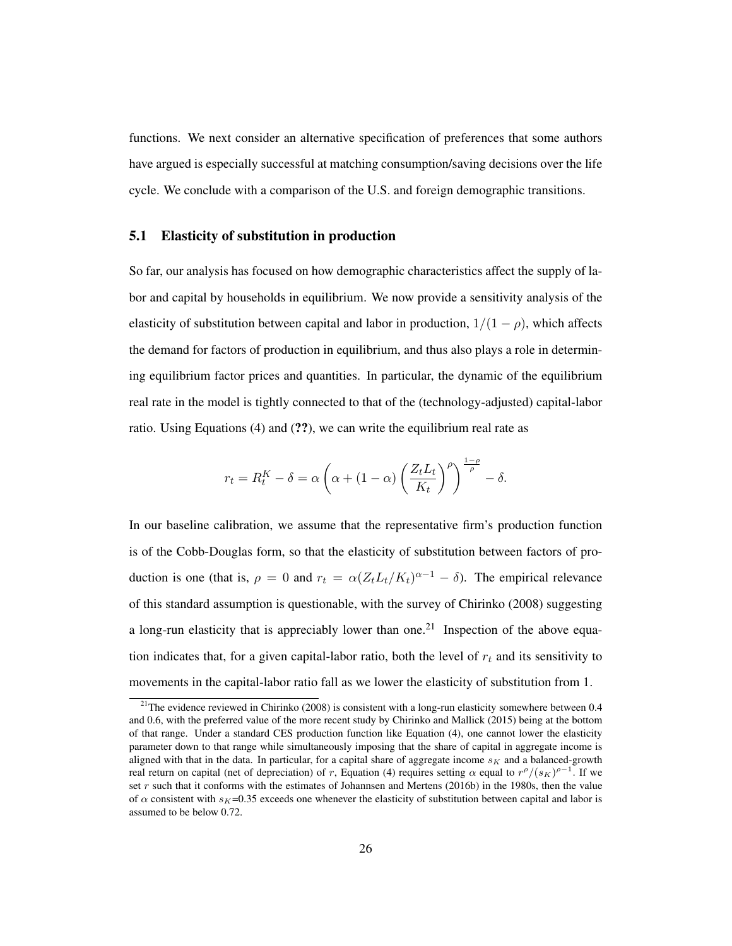functions. We next consider an alternative specification of preferences that some authors have argued is especially successful at matching consumption/saving decisions over the life cycle. We conclude with a comparison of the U.S. and foreign demographic transitions.

## 5.1 Elasticity of substitution in production

So far, our analysis has focused on how demographic characteristics affect the supply of labor and capital by households in equilibrium. We now provide a sensitivity analysis of the elasticity of substitution between capital and labor in production,  $1/(1 - \rho)$ , which affects the demand for factors of production in equilibrium, and thus also plays a role in determining equilibrium factor prices and quantities. In particular, the dynamic of the equilibrium real rate in the model is tightly connected to that of the (technology-adjusted) capital-labor ratio. Using Equations (4) and (??), we can write the equilibrium real rate as

$$
r_t = R_t^K - \delta = \alpha \left( \alpha + (1 - \alpha) \left( \frac{Z_t L_t}{K_t} \right)^{\rho} \right)^{\frac{1 - \rho}{\rho}} - \delta.
$$

In our baseline calibration, we assume that the representative firm's production function is of the Cobb-Douglas form, so that the elasticity of substitution between factors of production is one (that is,  $\rho = 0$  and  $r_t = \alpha (Z_t L_t / K_t)^{\alpha - 1} - \delta$ ). The empirical relevance of this standard assumption is questionable, with the survey of Chirinko (2008) suggesting a long-run elasticity that is appreciably lower than one.<sup>21</sup> Inspection of the above equation indicates that, for a given capital-labor ratio, both the level of  $r_t$  and its sensitivity to movements in the capital-labor ratio fall as we lower the elasticity of substitution from 1.

<sup>&</sup>lt;sup>21</sup>The evidence reviewed in Chirinko (2008) is consistent with a long-run elasticity somewhere between 0.4 and 0.6, with the preferred value of the more recent study by Chirinko and Mallick (2015) being at the bottom of that range. Under a standard CES production function like Equation (4), one cannot lower the elasticity parameter down to that range while simultaneously imposing that the share of capital in aggregate income is aligned with that in the data. In particular, for a capital share of aggregate income  $s<sub>K</sub>$  and a balanced-growth real return on capital (net of depreciation) of r, Equation (4) requires setting  $\alpha$  equal to  $r^{\rho}/(s_K)^{\rho-1}$ . If we set  $r$  such that it conforms with the estimates of Johannsen and Mertens (2016b) in the 1980s, then the value of  $\alpha$  consistent with  $s_K$ =0.35 exceeds one whenever the elasticity of substitution between capital and labor is assumed to be below 0.72.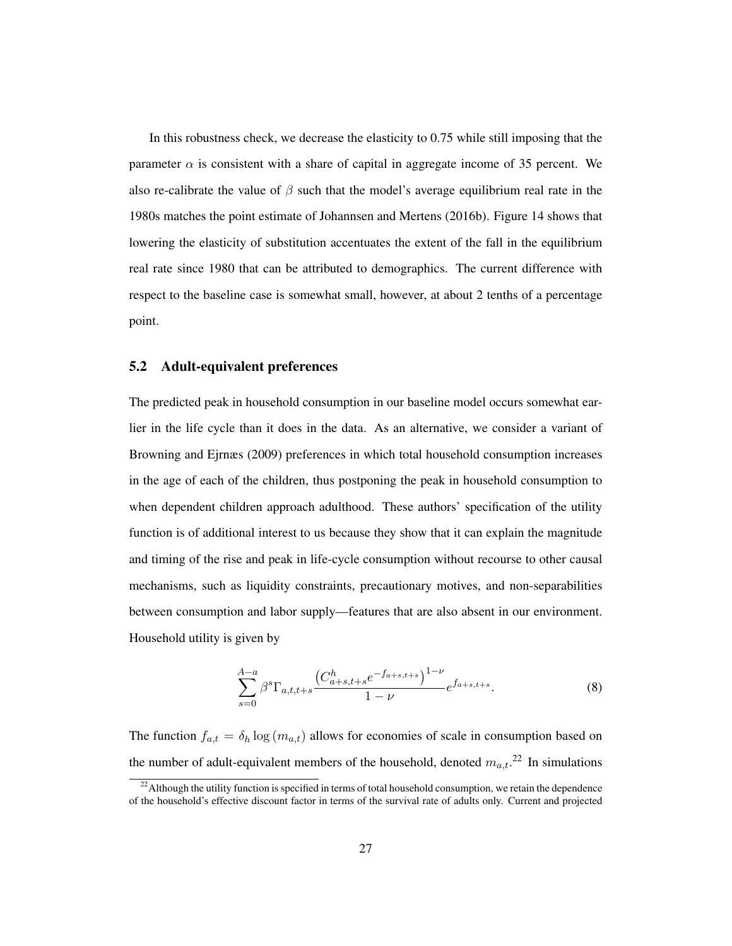In this robustness check, we decrease the elasticity to 0.75 while still imposing that the parameter  $\alpha$  is consistent with a share of capital in aggregate income of 35 percent. We also re-calibrate the value of  $\beta$  such that the model's average equilibrium real rate in the 1980s matches the point estimate of Johannsen and Mertens (2016b). Figure 14 shows that lowering the elasticity of substitution accentuates the extent of the fall in the equilibrium real rate since 1980 that can be attributed to demographics. The current difference with respect to the baseline case is somewhat small, however, at about 2 tenths of a percentage point.

## 5.2 Adult-equivalent preferences

The predicted peak in household consumption in our baseline model occurs somewhat earlier in the life cycle than it does in the data. As an alternative, we consider a variant of Browning and Ejrnæs (2009) preferences in which total household consumption increases in the age of each of the children, thus postponing the peak in household consumption to when dependent children approach adulthood. These authors' specification of the utility function is of additional interest to us because they show that it can explain the magnitude and timing of the rise and peak in life-cycle consumption without recourse to other causal mechanisms, such as liquidity constraints, precautionary motives, and non-separabilities between consumption and labor supply—features that are also absent in our environment. Household utility is given by

$$
\sum_{s=0}^{A-a} \beta^s \Gamma_{a,t,t+s} \frac{\left(C^h_{a+s,t+s}e^{-f_{a+s,t+s}}\right)^{1-\nu}}{1-\nu} e^{f_{a+s,t+s}}.
$$
 (8)

The function  $f_{a,t} = \delta_h \log(m_{a,t})$  allows for economies of scale in consumption based on the number of adult-equivalent members of the household, denoted  $m_{a,t}$ <sup>22</sup> In simulations

<sup>&</sup>lt;sup>22</sup> Although the utility function is specified in terms of total household consumption, we retain the dependence of the household's effective discount factor in terms of the survival rate of adults only. Current and projected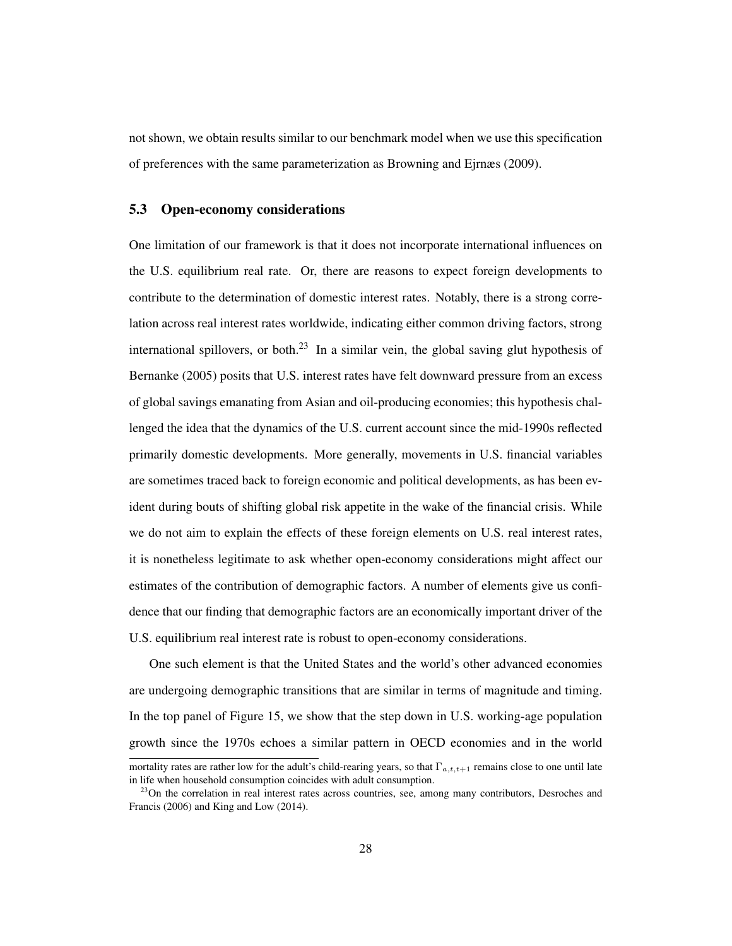not shown, we obtain results similar to our benchmark model when we use this specification of preferences with the same parameterization as Browning and Ejrnæs (2009).

## 5.3 Open-economy considerations

One limitation of our framework is that it does not incorporate international influences on the U.S. equilibrium real rate. Or, there are reasons to expect foreign developments to contribute to the determination of domestic interest rates. Notably, there is a strong correlation across real interest rates worldwide, indicating either common driving factors, strong international spillovers, or both.<sup>23</sup> In a similar vein, the global saving glut hypothesis of Bernanke (2005) posits that U.S. interest rates have felt downward pressure from an excess of global savings emanating from Asian and oil-producing economies; this hypothesis challenged the idea that the dynamics of the U.S. current account since the mid-1990s reflected primarily domestic developments. More generally, movements in U.S. financial variables are sometimes traced back to foreign economic and political developments, as has been evident during bouts of shifting global risk appetite in the wake of the financial crisis. While we do not aim to explain the effects of these foreign elements on U.S. real interest rates, it is nonetheless legitimate to ask whether open-economy considerations might affect our estimates of the contribution of demographic factors. A number of elements give us confidence that our finding that demographic factors are an economically important driver of the U.S. equilibrium real interest rate is robust to open-economy considerations.

One such element is that the United States and the world's other advanced economies are undergoing demographic transitions that are similar in terms of magnitude and timing. In the top panel of Figure 15, we show that the step down in U.S. working-age population growth since the 1970s echoes a similar pattern in OECD economies and in the world

mortality rates are rather low for the adult's child-rearing years, so that  $\Gamma_{a,t,t+1}$  remains close to one until late in life when household consumption coincides with adult consumption.

<sup>&</sup>lt;sup>23</sup>On the correlation in real interest rates across countries, see, among many contributors, Desroches and Francis (2006) and King and Low (2014).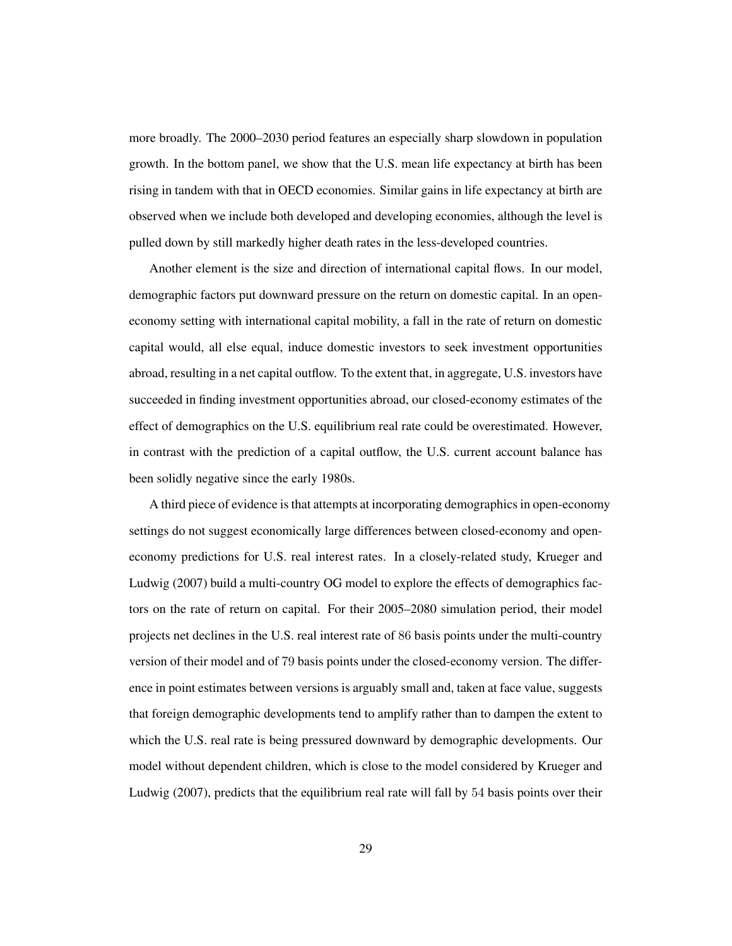more broadly. The 2000–2030 period features an especially sharp slowdown in population growth. In the bottom panel, we show that the U.S. mean life expectancy at birth has been rising in tandem with that in OECD economies. Similar gains in life expectancy at birth are observed when we include both developed and developing economies, although the level is pulled down by still markedly higher death rates in the less-developed countries.

Another element is the size and direction of international capital flows. In our model, demographic factors put downward pressure on the return on domestic capital. In an openeconomy setting with international capital mobility, a fall in the rate of return on domestic capital would, all else equal, induce domestic investors to seek investment opportunities abroad, resulting in a net capital outflow. To the extent that, in aggregate, U.S. investors have succeeded in finding investment opportunities abroad, our closed-economy estimates of the effect of demographics on the U.S. equilibrium real rate could be overestimated. However, in contrast with the prediction of a capital outflow, the U.S. current account balance has been solidly negative since the early 1980s.

A third piece of evidence is that attempts at incorporating demographics in open-economy settings do not suggest economically large differences between closed-economy and openeconomy predictions for U.S. real interest rates. In a closely-related study, Krueger and Ludwig (2007) build a multi-country OG model to explore the effects of demographics factors on the rate of return on capital. For their 2005–2080 simulation period, their model projects net declines in the U.S. real interest rate of 86 basis points under the multi-country version of their model and of 79 basis points under the closed-economy version. The difference in point estimates between versions is arguably small and, taken at face value, suggests that foreign demographic developments tend to amplify rather than to dampen the extent to which the U.S. real rate is being pressured downward by demographic developments. Our model without dependent children, which is close to the model considered by Krueger and Ludwig (2007), predicts that the equilibrium real rate will fall by 54 basis points over their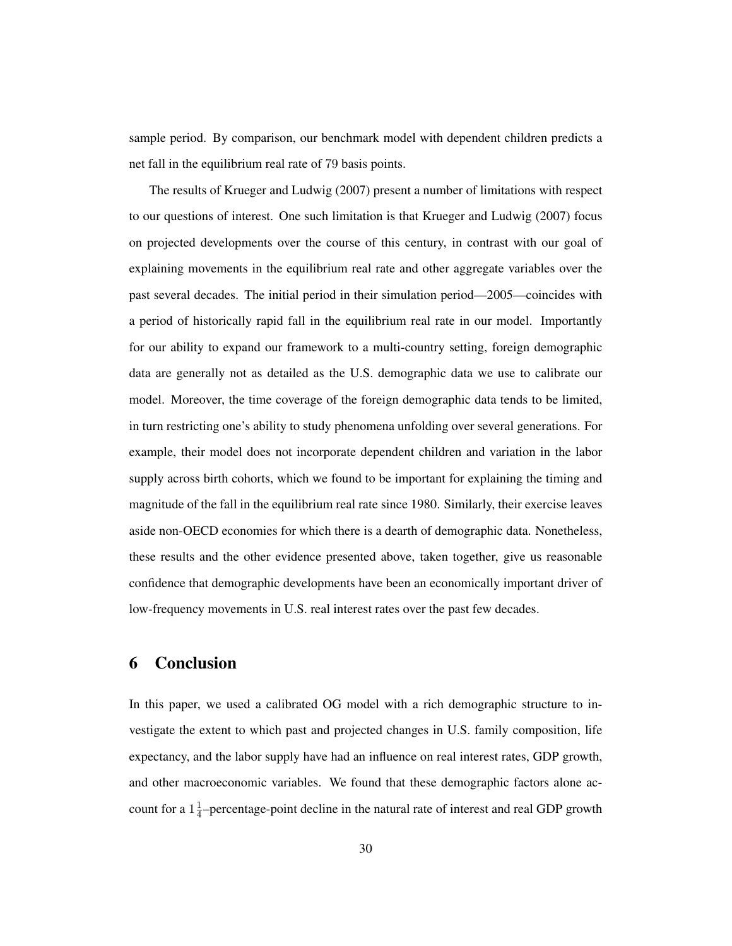sample period. By comparison, our benchmark model with dependent children predicts a net fall in the equilibrium real rate of 79 basis points.

The results of Krueger and Ludwig (2007) present a number of limitations with respect to our questions of interest. One such limitation is that Krueger and Ludwig (2007) focus on projected developments over the course of this century, in contrast with our goal of explaining movements in the equilibrium real rate and other aggregate variables over the past several decades. The initial period in their simulation period—2005—coincides with a period of historically rapid fall in the equilibrium real rate in our model. Importantly for our ability to expand our framework to a multi-country setting, foreign demographic data are generally not as detailed as the U.S. demographic data we use to calibrate our model. Moreover, the time coverage of the foreign demographic data tends to be limited, in turn restricting one's ability to study phenomena unfolding over several generations. For example, their model does not incorporate dependent children and variation in the labor supply across birth cohorts, which we found to be important for explaining the timing and magnitude of the fall in the equilibrium real rate since 1980. Similarly, their exercise leaves aside non-OECD economies for which there is a dearth of demographic data. Nonetheless, these results and the other evidence presented above, taken together, give us reasonable confidence that demographic developments have been an economically important driver of low-frequency movements in U.S. real interest rates over the past few decades.

# 6 Conclusion

In this paper, we used a calibrated OG model with a rich demographic structure to investigate the extent to which past and projected changes in U.S. family composition, life expectancy, and the labor supply have had an influence on real interest rates, GDP growth, and other macroeconomic variables. We found that these demographic factors alone account for a  $1\frac{1}{4}$  $\frac{1}{4}$ -percentage-point decline in the natural rate of interest and real GDP growth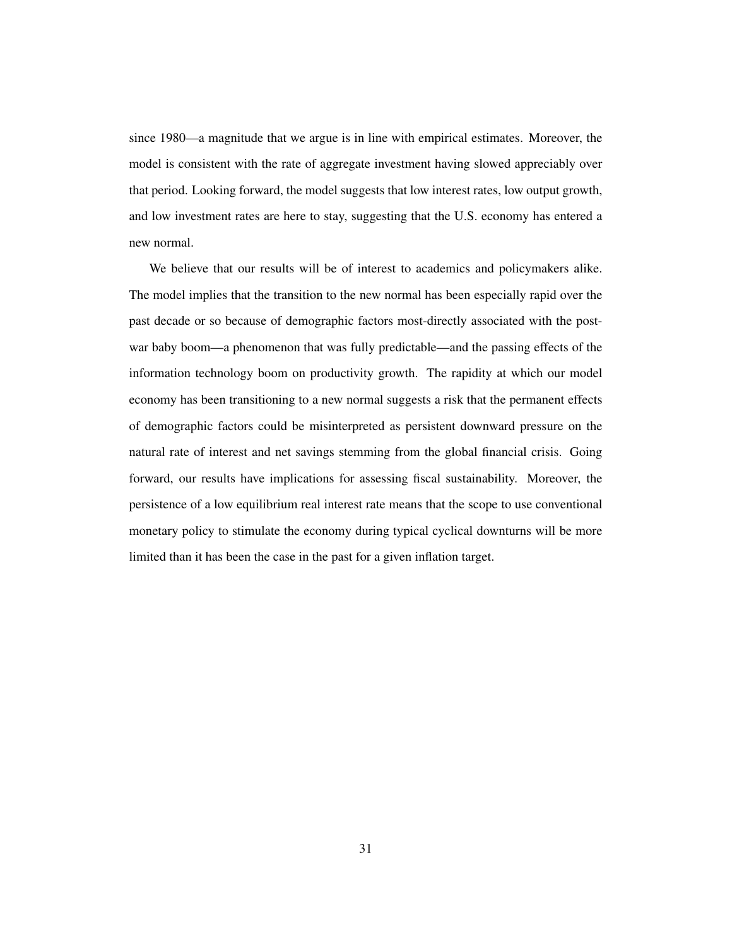since 1980—a magnitude that we argue is in line with empirical estimates. Moreover, the model is consistent with the rate of aggregate investment having slowed appreciably over that period. Looking forward, the model suggests that low interest rates, low output growth, and low investment rates are here to stay, suggesting that the U.S. economy has entered a new normal.

We believe that our results will be of interest to academics and policymakers alike. The model implies that the transition to the new normal has been especially rapid over the past decade or so because of demographic factors most-directly associated with the postwar baby boom—a phenomenon that was fully predictable—and the passing effects of the information technology boom on productivity growth. The rapidity at which our model economy has been transitioning to a new normal suggests a risk that the permanent effects of demographic factors could be misinterpreted as persistent downward pressure on the natural rate of interest and net savings stemming from the global financial crisis. Going forward, our results have implications for assessing fiscal sustainability. Moreover, the persistence of a low equilibrium real interest rate means that the scope to use conventional monetary policy to stimulate the economy during typical cyclical downturns will be more limited than it has been the case in the past for a given inflation target.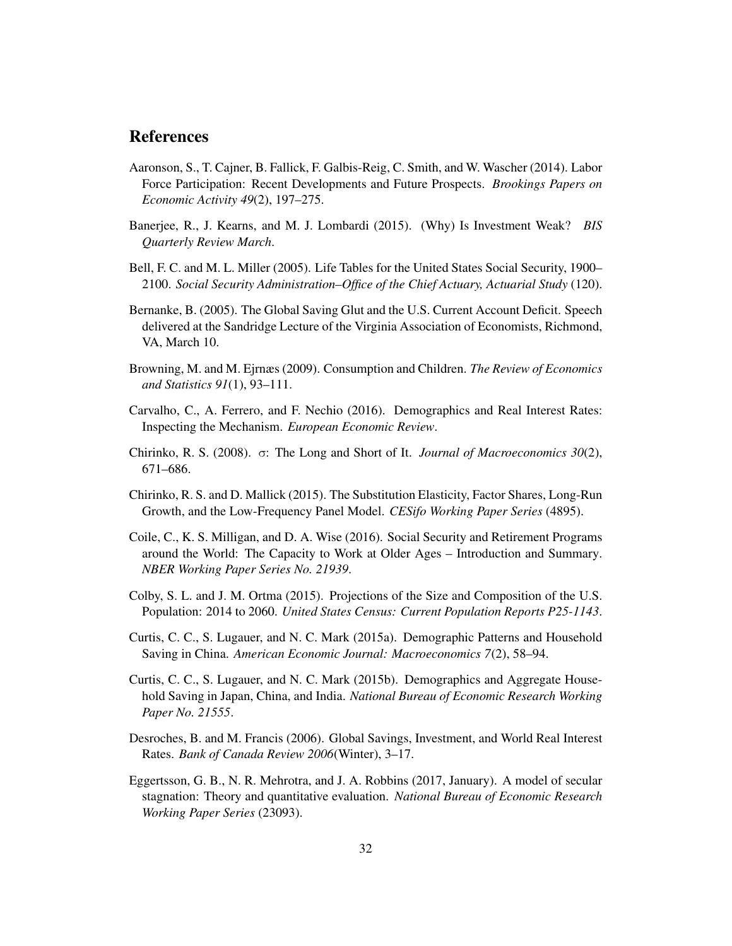# References

- Aaronson, S., T. Cajner, B. Fallick, F. Galbis-Reig, C. Smith, and W. Wascher (2014). Labor Force Participation: Recent Developments and Future Prospects. *Brookings Papers on Economic Activity 49*(2), 197–275.
- Banerjee, R., J. Kearns, and M. J. Lombardi (2015). (Why) Is Investment Weak? *BIS Quarterly Review March*.
- Bell, F. C. and M. L. Miller (2005). Life Tables for the United States Social Security, 1900– 2100. *Social Security Administration–Office of the Chief Actuary, Actuarial Study* (120).
- Bernanke, B. (2005). The Global Saving Glut and the U.S. Current Account Deficit. Speech delivered at the Sandridge Lecture of the Virginia Association of Economists, Richmond, VA, March 10.
- Browning, M. and M. Ejrnæs (2009). Consumption and Children. *The Review of Economics and Statistics 91*(1), 93–111.
- Carvalho, C., A. Ferrero, and F. Nechio (2016). Demographics and Real Interest Rates: Inspecting the Mechanism. *European Economic Review*.
- Chirinko, R. S. (2008). σ: The Long and Short of It. *Journal of Macroeconomics 30*(2), 671–686.
- Chirinko, R. S. and D. Mallick (2015). The Substitution Elasticity, Factor Shares, Long-Run Growth, and the Low-Frequency Panel Model. *CESifo Working Paper Series* (4895).
- Coile, C., K. S. Milligan, and D. A. Wise (2016). Social Security and Retirement Programs around the World: The Capacity to Work at Older Ages – Introduction and Summary. *NBER Working Paper Series No. 21939*.
- Colby, S. L. and J. M. Ortma (2015). Projections of the Size and Composition of the U.S. Population: 2014 to 2060. *United States Census: Current Population Reports P25-1143*.
- Curtis, C. C., S. Lugauer, and N. C. Mark (2015a). Demographic Patterns and Household Saving in China. *American Economic Journal: Macroeconomics 7*(2), 58–94.
- Curtis, C. C., S. Lugauer, and N. C. Mark (2015b). Demographics and Aggregate Household Saving in Japan, China, and India. *National Bureau of Economic Research Working Paper No. 21555*.
- Desroches, B. and M. Francis (2006). Global Savings, Investment, and World Real Interest Rates. *Bank of Canada Review 2006*(Winter), 3–17.
- Eggertsson, G. B., N. R. Mehrotra, and J. A. Robbins (2017, January). A model of secular stagnation: Theory and quantitative evaluation. *National Bureau of Economic Research Working Paper Series* (23093).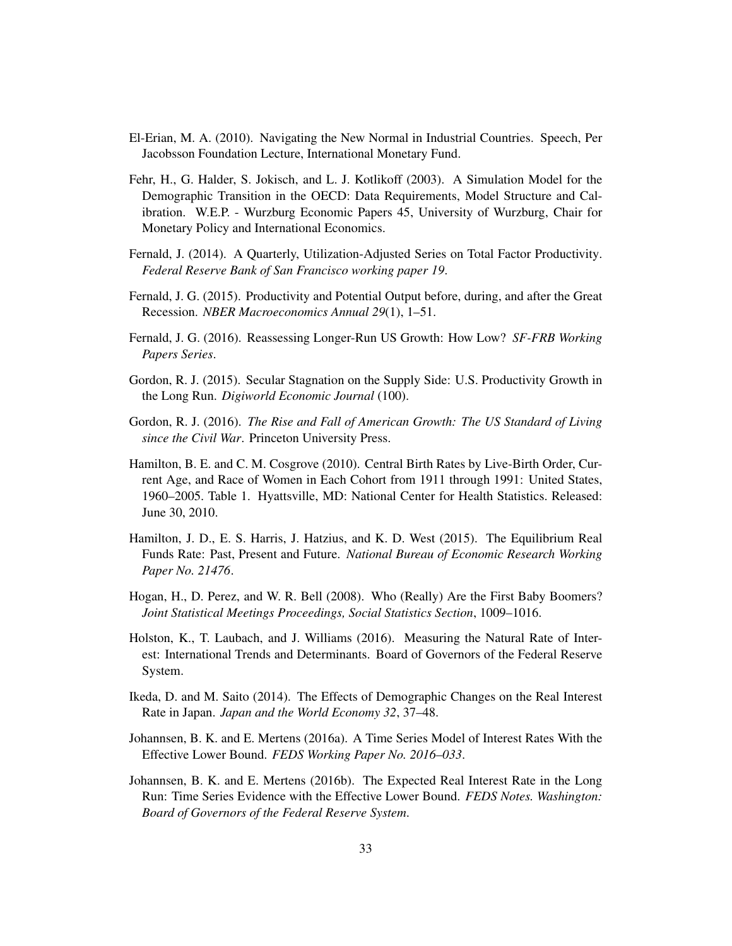- El-Erian, M. A. (2010). Navigating the New Normal in Industrial Countries. Speech, Per Jacobsson Foundation Lecture, International Monetary Fund.
- Fehr, H., G. Halder, S. Jokisch, and L. J. Kotlikoff (2003). A Simulation Model for the Demographic Transition in the OECD: Data Requirements, Model Structure and Calibration. W.E.P. - Wurzburg Economic Papers 45, University of Wurzburg, Chair for Monetary Policy and International Economics.
- Fernald, J. (2014). A Quarterly, Utilization-Adjusted Series on Total Factor Productivity. *Federal Reserve Bank of San Francisco working paper 19*.
- Fernald, J. G. (2015). Productivity and Potential Output before, during, and after the Great Recession. *NBER Macroeconomics Annual 29*(1), 1–51.
- Fernald, J. G. (2016). Reassessing Longer-Run US Growth: How Low? *SF-FRB Working Papers Series*.
- Gordon, R. J. (2015). Secular Stagnation on the Supply Side: U.S. Productivity Growth in the Long Run. *Digiworld Economic Journal* (100).
- Gordon, R. J. (2016). *The Rise and Fall of American Growth: The US Standard of Living since the Civil War*. Princeton University Press.
- Hamilton, B. E. and C. M. Cosgrove (2010). Central Birth Rates by Live-Birth Order, Current Age, and Race of Women in Each Cohort from 1911 through 1991: United States, 1960–2005. Table 1. Hyattsville, MD: National Center for Health Statistics. Released: June 30, 2010.
- Hamilton, J. D., E. S. Harris, J. Hatzius, and K. D. West (2015). The Equilibrium Real Funds Rate: Past, Present and Future. *National Bureau of Economic Research Working Paper No. 21476*.
- Hogan, H., D. Perez, and W. R. Bell (2008). Who (Really) Are the First Baby Boomers? *Joint Statistical Meetings Proceedings, Social Statistics Section*, 1009–1016.
- Holston, K., T. Laubach, and J. Williams (2016). Measuring the Natural Rate of Interest: International Trends and Determinants. Board of Governors of the Federal Reserve System.
- Ikeda, D. and M. Saito (2014). The Effects of Demographic Changes on the Real Interest Rate in Japan. *Japan and the World Economy 32*, 37–48.
- Johannsen, B. K. and E. Mertens (2016a). A Time Series Model of Interest Rates With the Effective Lower Bound. *FEDS Working Paper No. 2016–033*.
- Johannsen, B. K. and E. Mertens (2016b). The Expected Real Interest Rate in the Long Run: Time Series Evidence with the Effective Lower Bound. *FEDS Notes. Washington: Board of Governors of the Federal Reserve System*.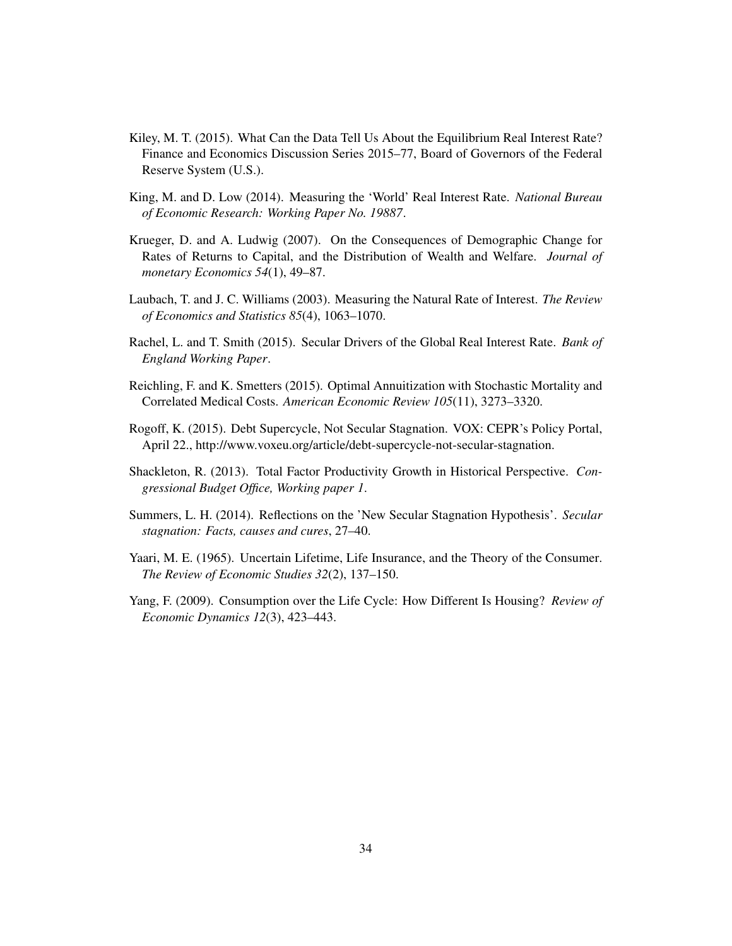- Kiley, M. T. (2015). What Can the Data Tell Us About the Equilibrium Real Interest Rate? Finance and Economics Discussion Series 2015–77, Board of Governors of the Federal Reserve System (U.S.).
- King, M. and D. Low (2014). Measuring the 'World' Real Interest Rate. *National Bureau of Economic Research: Working Paper No. 19887*.
- Krueger, D. and A. Ludwig (2007). On the Consequences of Demographic Change for Rates of Returns to Capital, and the Distribution of Wealth and Welfare. *Journal of monetary Economics 54*(1), 49–87.
- Laubach, T. and J. C. Williams (2003). Measuring the Natural Rate of Interest. *The Review of Economics and Statistics 85*(4), 1063–1070.
- Rachel, L. and T. Smith (2015). Secular Drivers of the Global Real Interest Rate. *Bank of England Working Paper*.
- Reichling, F. and K. Smetters (2015). Optimal Annuitization with Stochastic Mortality and Correlated Medical Costs. *American Economic Review 105*(11), 3273–3320.
- Rogoff, K. (2015). Debt Supercycle, Not Secular Stagnation. VOX: CEPR's Policy Portal, April 22., http://www.voxeu.org/article/debt-supercycle-not-secular-stagnation.
- Shackleton, R. (2013). Total Factor Productivity Growth in Historical Perspective. *Congressional Budget Office, Working paper 1*.
- Summers, L. H. (2014). Reflections on the 'New Secular Stagnation Hypothesis'. *Secular stagnation: Facts, causes and cures*, 27–40.
- Yaari, M. E. (1965). Uncertain Lifetime, Life Insurance, and the Theory of the Consumer. *The Review of Economic Studies 32*(2), 137–150.
- Yang, F. (2009). Consumption over the Life Cycle: How Different Is Housing? *Review of Economic Dynamics 12*(3), 423–443.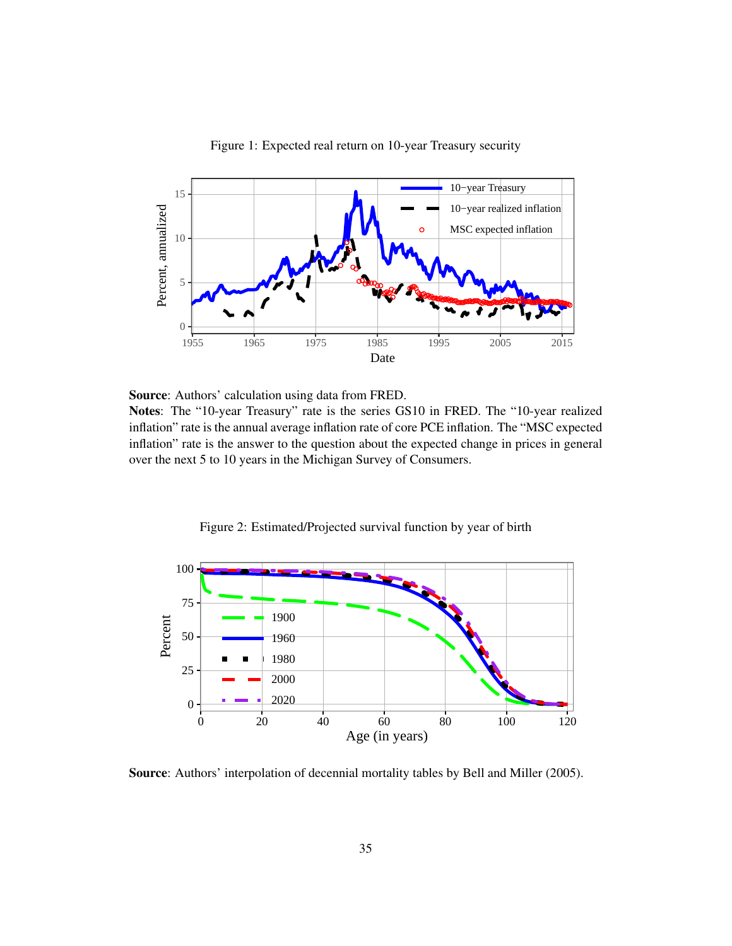

Figure 1: Expected real return on 10-year Treasury security

Source: Authors' calculation using data from FRED.

Notes: The "10-year Treasury" rate is the series GS10 in FRED. The "10-year realized inflation" rate is the annual average inflation rate of core PCE inflation. The "MSC expected inflation" rate is the answer to the question about the expected change in prices in general over the next 5 to 10 years in the Michigan Survey of Consumers.

Figure 2: Estimated/Projected survival function by year of birth



Source: Authors' interpolation of decennial mortality tables by Bell and Miller (2005).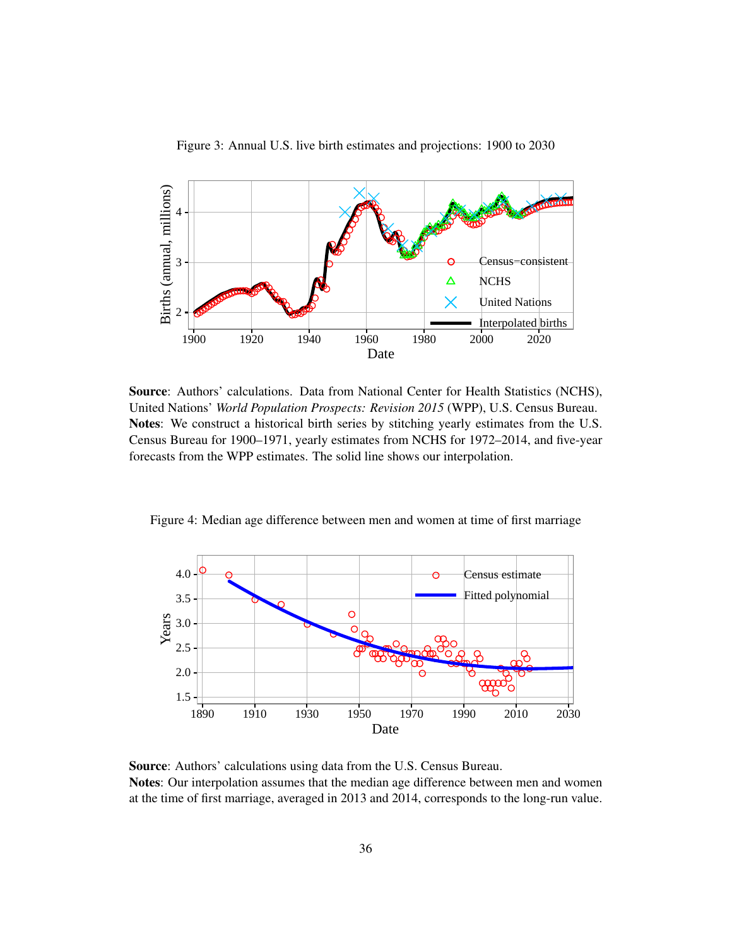

Figure 3: Annual U.S. live birth estimates and projections: 1900 to 2030

Source: Authors' calculations. Data from National Center for Health Statistics (NCHS), United Nations' *World Population Prospects: Revision 2015* (WPP), U.S. Census Bureau. Notes: We construct a historical birth series by stitching yearly estimates from the U.S. Census Bureau for 1900–1971, yearly estimates from NCHS for 1972–2014, and five-year forecasts from the WPP estimates. The solid line shows our interpolation.

Figure 4: Median age difference between men and women at time of first marriage



Source: Authors' calculations using data from the U.S. Census Bureau. Notes: Our interpolation assumes that the median age difference between men and women at the time of first marriage, averaged in 2013 and 2014, corresponds to the long-run value.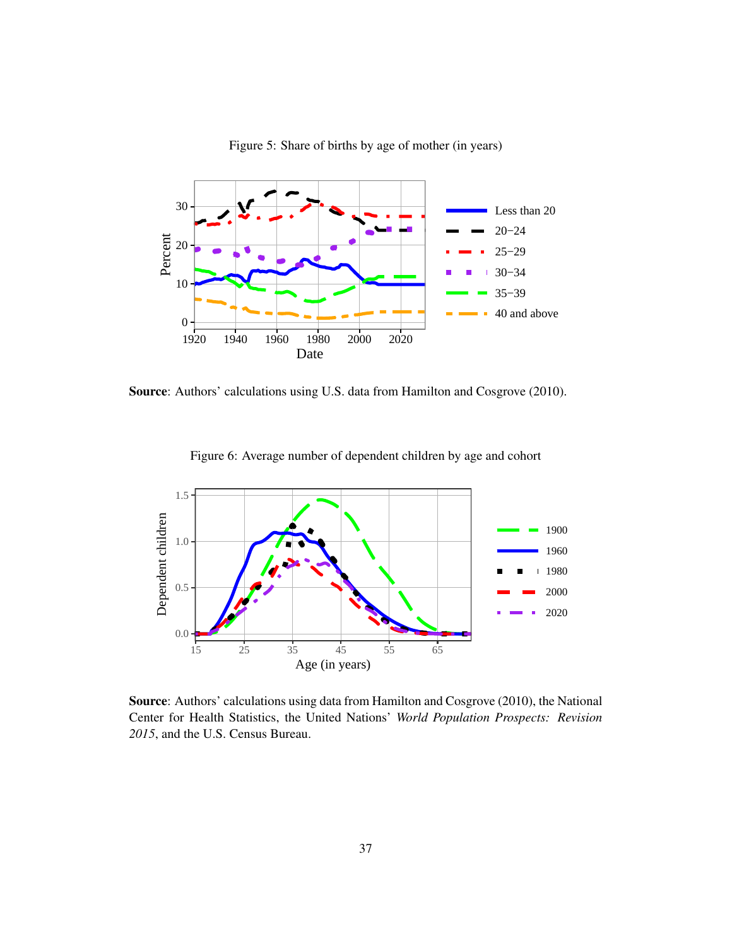

Figure 5: Share of births by age of mother (in years)

Source: Authors' calculations using U.S. data from Hamilton and Cosgrove (2010).



Figure 6: Average number of dependent children by age and cohort

Source: Authors' calculations using data from Hamilton and Cosgrove (2010), the National Center for Health Statistics, the United Nations' *World Population Prospects: Revision 2015*, and the U.S. Census Bureau.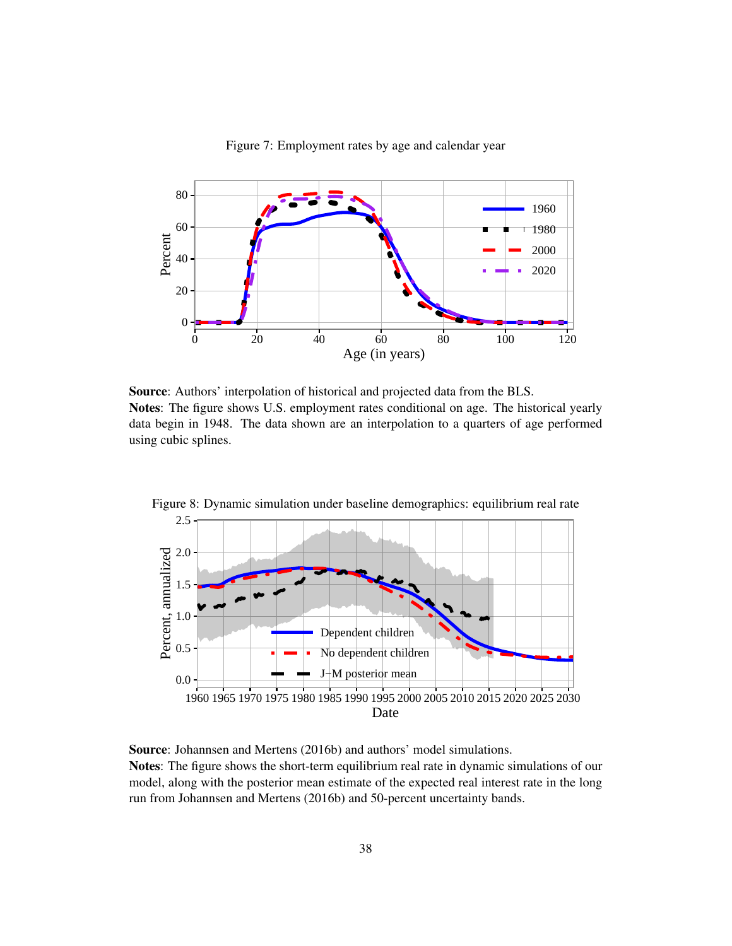

Figure 7: Employment rates by age and calendar year

Source: Authors' interpolation of historical and projected data from the BLS. Notes: The figure shows U.S. employment rates conditional on age. The historical yearly data begin in 1948. The data shown are an interpolation to a quarters of age performed using cubic splines.



Figure 8: Dynamic simulation under baseline demographics: equilibrium real rate

Source: Johannsen and Mertens (2016b) and authors' model simulations. Notes: The figure shows the short-term equilibrium real rate in dynamic simulations of our model, along with the posterior mean estimate of the expected real interest rate in the long run from Johannsen and Mertens (2016b) and 50-percent uncertainty bands.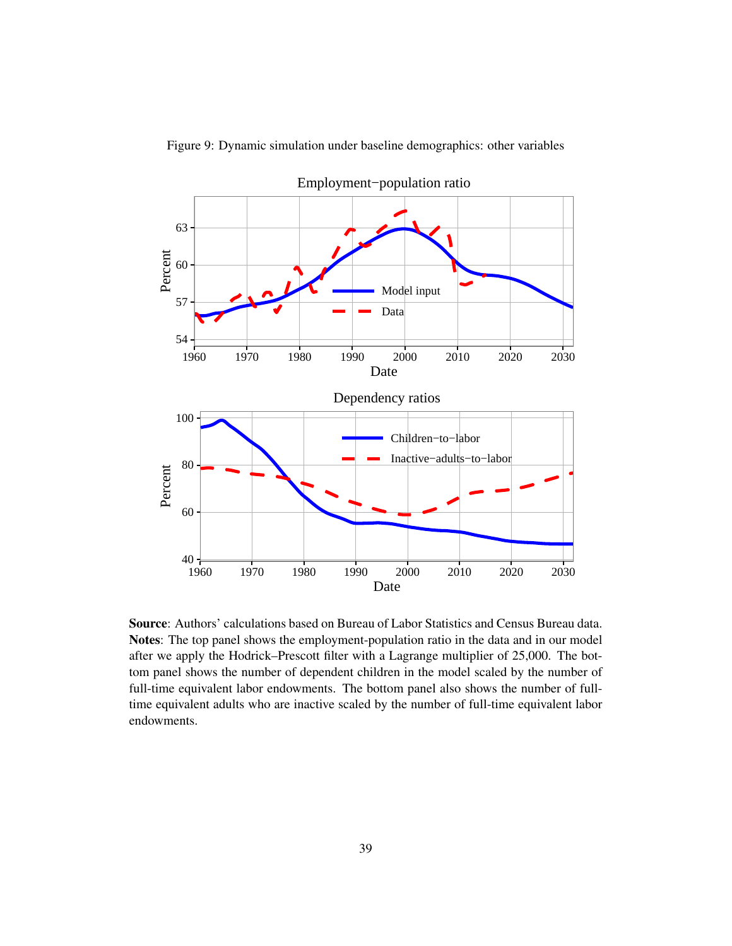

Figure 9: Dynamic simulation under baseline demographics: other variables

Source: Authors' calculations based on Bureau of Labor Statistics and Census Bureau data. Notes: The top panel shows the employment-population ratio in the data and in our model after we apply the Hodrick–Prescott filter with a Lagrange multiplier of 25,000. The bottom panel shows the number of dependent children in the model scaled by the number of full-time equivalent labor endowments. The bottom panel also shows the number of fulltime equivalent adults who are inactive scaled by the number of full-time equivalent labor endowments.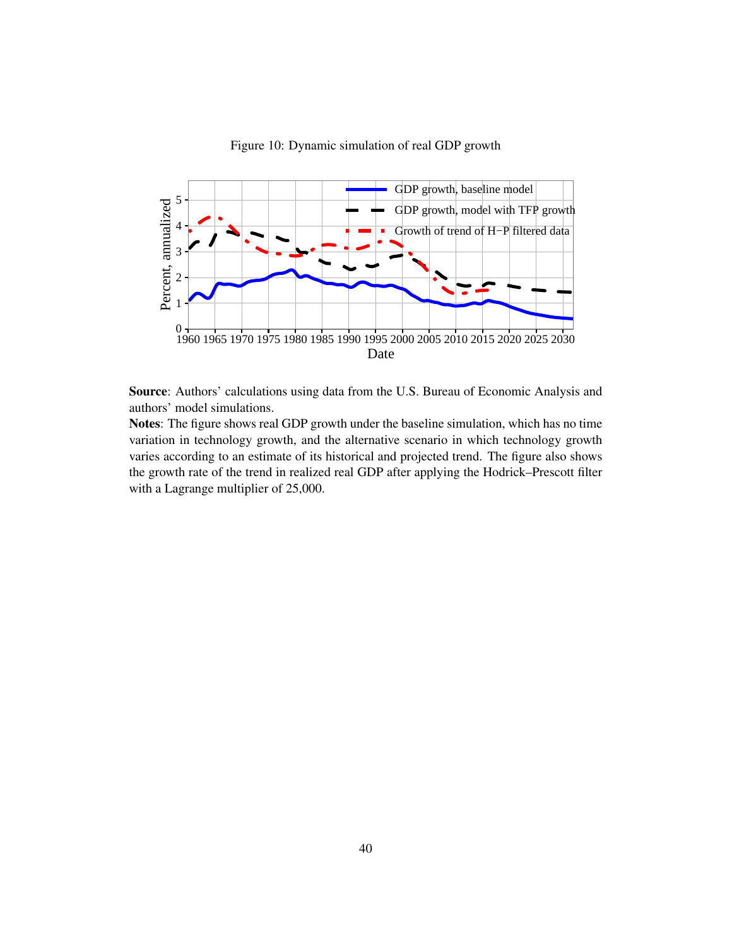

Figure 10: Dynamic simulation of real GDP growth

Source: Authors' calculations using data from the U.S. Bureau of Economic Analysis and authors' model simulations.

Notes: The figure shows real GDP growth under the baseline simulation, which has no time variation in technology growth, and the alternative scenario in which technology growth varies according to an estimate of its historical and projected trend. The figure also shows the growth rate of the trend in realized real GDP after applying the Hodrick–Prescott filter with a Lagrange multiplier of 25,000.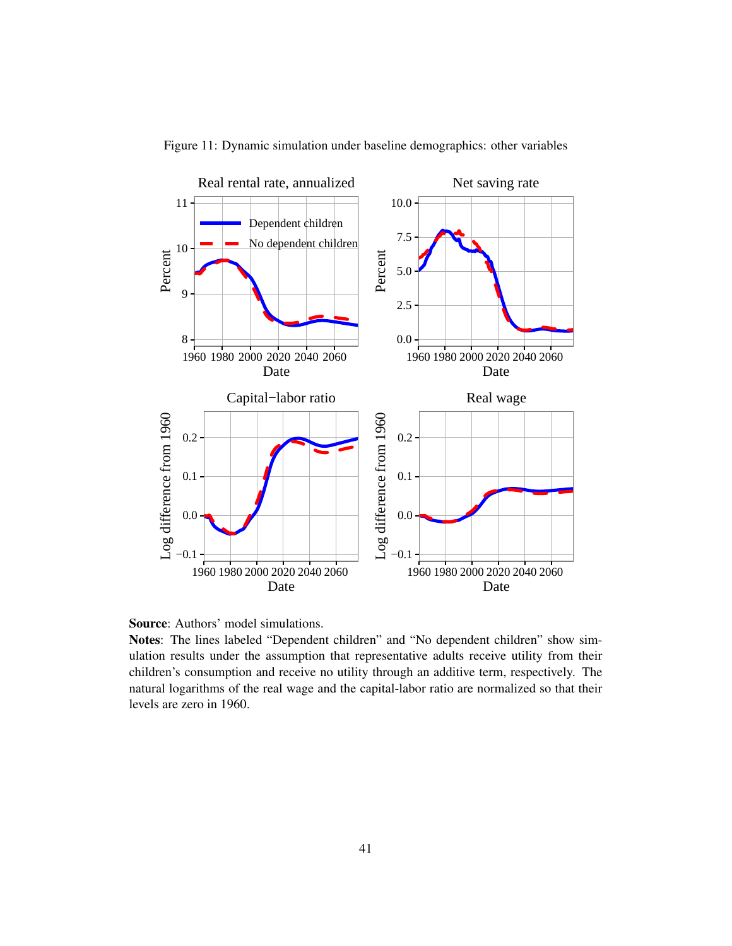

Figure 11: Dynamic simulation under baseline demographics: other variables

Source: Authors' model simulations.

Notes: The lines labeled "Dependent children" and "No dependent children" show simulation results under the assumption that representative adults receive utility from their children's consumption and receive no utility through an additive term, respectively. The natural logarithms of the real wage and the capital-labor ratio are normalized so that their levels are zero in 1960.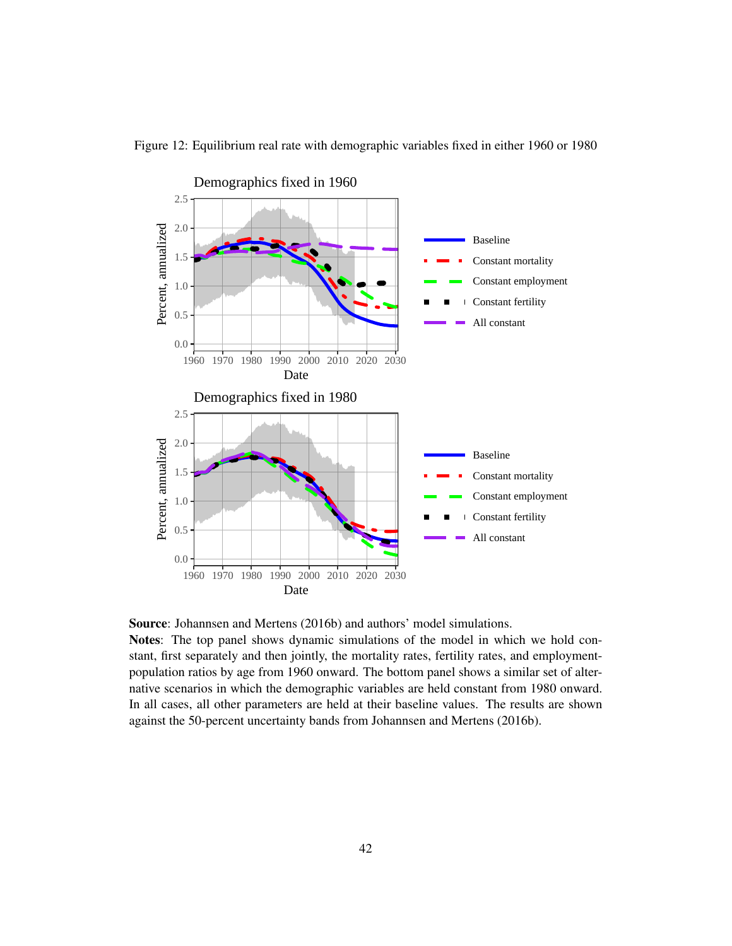

Figure 12: Equilibrium real rate with demographic variables fixed in either 1960 or 1980

Source: Johannsen and Mertens (2016b) and authors' model simulations.

Notes: The top panel shows dynamic simulations of the model in which we hold constant, first separately and then jointly, the mortality rates, fertility rates, and employmentpopulation ratios by age from 1960 onward. The bottom panel shows a similar set of alternative scenarios in which the demographic variables are held constant from 1980 onward. In all cases, all other parameters are held at their baseline values. The results are shown against the 50-percent uncertainty bands from Johannsen and Mertens (2016b).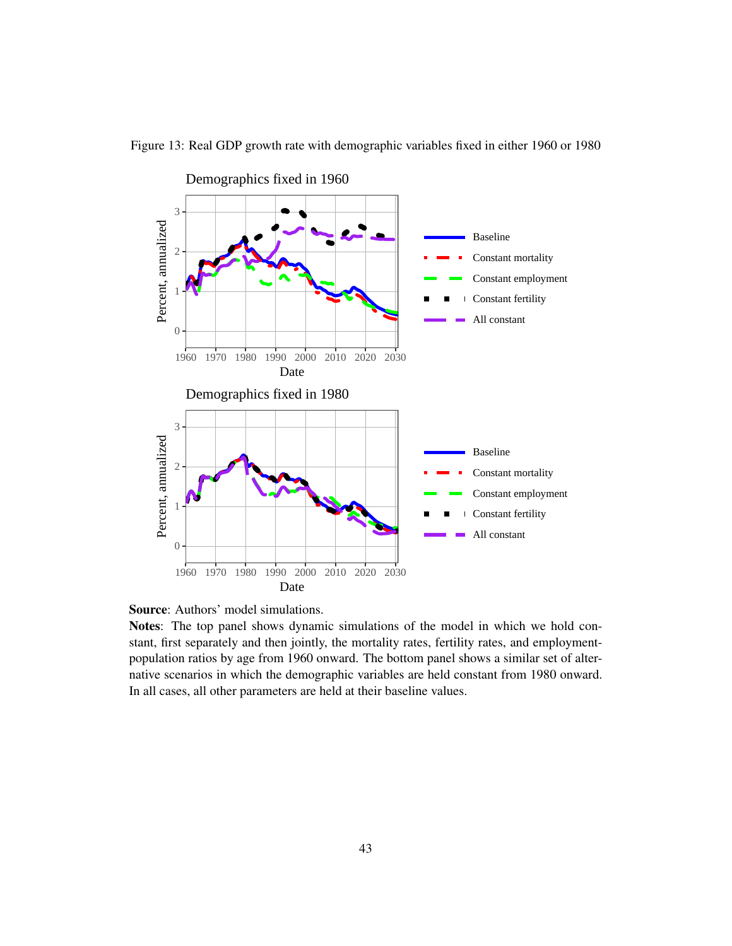

Figure 13: Real GDP growth rate with demographic variables fixed in either 1960 or 1980

Source: Authors' model simulations.

Notes: The top panel shows dynamic simulations of the model in which we hold constant, first separately and then jointly, the mortality rates, fertility rates, and employmentpopulation ratios by age from 1960 onward. The bottom panel shows a similar set of alternative scenarios in which the demographic variables are held constant from 1980 onward. In all cases, all other parameters are held at their baseline values.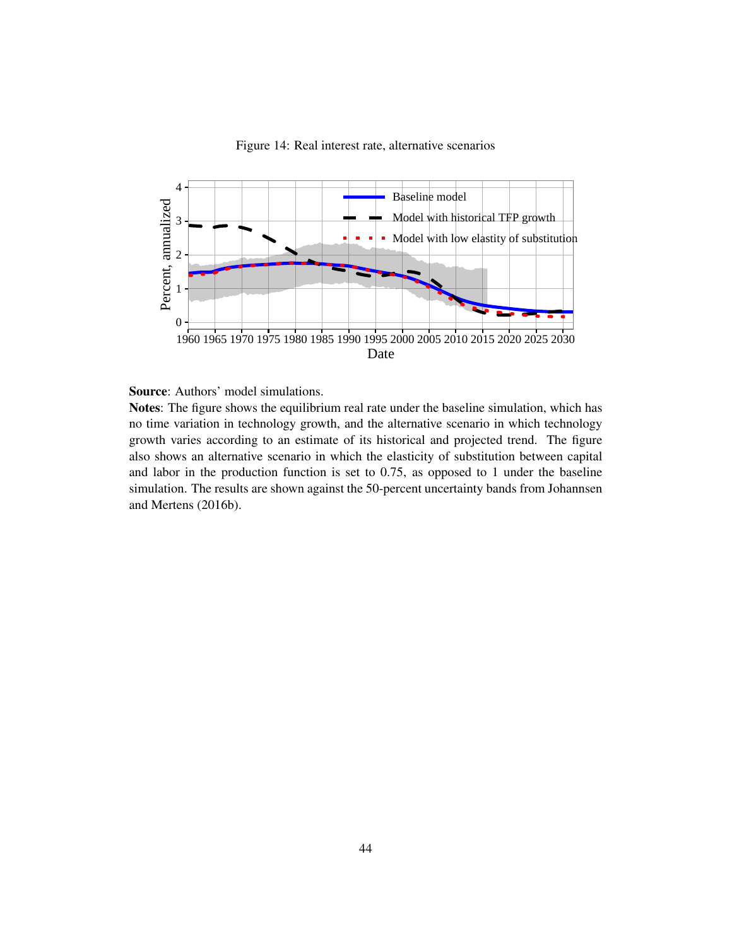

Figure 14: Real interest rate, alternative scenarios



Notes: The figure shows the equilibrium real rate under the baseline simulation, which has no time variation in technology growth, and the alternative scenario in which technology growth varies according to an estimate of its historical and projected trend. The figure also shows an alternative scenario in which the elasticity of substitution between capital and labor in the production function is set to 0.75, as opposed to 1 under the baseline simulation. The results are shown against the 50-percent uncertainty bands from Johannsen and Mertens (2016b).